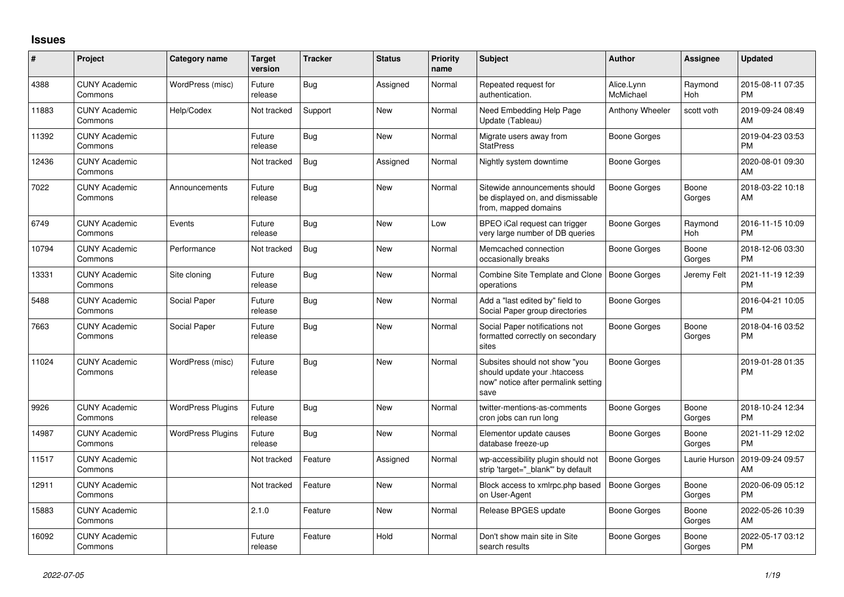## **Issues**

| ∦     | Project                         | <b>Category name</b>     | <b>Target</b><br>version | <b>Tracker</b> | <b>Status</b> | <b>Priority</b><br>name | <b>Subject</b>                                                                                               | <b>Author</b>           | Assignee        | <b>Updated</b>                |
|-------|---------------------------------|--------------------------|--------------------------|----------------|---------------|-------------------------|--------------------------------------------------------------------------------------------------------------|-------------------------|-----------------|-------------------------------|
| 4388  | <b>CUNY Academic</b><br>Commons | WordPress (misc)         | Future<br>release        | <b>Bug</b>     | Assigned      | Normal                  | Repeated request for<br>authentication.                                                                      | Alice.Lynn<br>McMichael | Raymond<br>Hoh  | 2015-08-11 07:35<br><b>PM</b> |
| 11883 | <b>CUNY Academic</b><br>Commons | Help/Codex               | Not tracked              | Support        | <b>New</b>    | Normal                  | Need Embedding Help Page<br>Update (Tableau)                                                                 | Anthony Wheeler         | scott voth      | 2019-09-24 08:49<br>AM        |
| 11392 | <b>CUNY Academic</b><br>Commons |                          | Future<br>release        | <b>Bug</b>     | <b>New</b>    | Normal                  | Migrate users away from<br><b>StatPress</b>                                                                  | Boone Gorges            |                 | 2019-04-23 03:53<br><b>PM</b> |
| 12436 | <b>CUNY Academic</b><br>Commons |                          | Not tracked              | Bug            | Assigned      | Normal                  | Nightly system downtime                                                                                      | Boone Gorges            |                 | 2020-08-01 09:30<br>AM        |
| 7022  | <b>CUNY Academic</b><br>Commons | Announcements            | Future<br>release        | Bug            | <b>New</b>    | Normal                  | Sitewide announcements should<br>be displayed on, and dismissable<br>from, mapped domains                    | Boone Gorges            | Boone<br>Gorges | 2018-03-22 10:18<br>AM        |
| 6749  | <b>CUNY Academic</b><br>Commons | Events                   | Future<br>release        | <b>Bug</b>     | <b>New</b>    | Low                     | BPEO iCal request can trigger<br>very large number of DB queries                                             | Boone Gorges            | Raymond<br>Hoh  | 2016-11-15 10:09<br><b>PM</b> |
| 10794 | <b>CUNY Academic</b><br>Commons | Performance              | Not tracked              | Bug            | <b>New</b>    | Normal                  | Memcached connection<br>occasionally breaks                                                                  | <b>Boone Gorges</b>     | Boone<br>Gorges | 2018-12-06 03:30<br><b>PM</b> |
| 13331 | <b>CUNY Academic</b><br>Commons | Site cloning             | Future<br>release        | Bug            | <b>New</b>    | Normal                  | Combine Site Template and Clone<br>operations                                                                | Boone Gorges            | Jeremy Felt     | 2021-11-19 12:39<br><b>PM</b> |
| 5488  | <b>CUNY Academic</b><br>Commons | Social Paper             | Future<br>release        | <b>Bug</b>     | <b>New</b>    | Normal                  | Add a "last edited by" field to<br>Social Paper group directories                                            | Boone Gorges            |                 | 2016-04-21 10:05<br><b>PM</b> |
| 7663  | <b>CUNY Academic</b><br>Commons | Social Paper             | Future<br>release        | Bug            | New           | Normal                  | Social Paper notifications not<br>formatted correctly on secondary<br>sites                                  | <b>Boone Gorges</b>     | Boone<br>Gorges | 2018-04-16 03:52<br><b>PM</b> |
| 11024 | <b>CUNY Academic</b><br>Commons | WordPress (misc)         | Future<br>release        | <b>Bug</b>     | <b>New</b>    | Normal                  | Subsites should not show "you<br>should update your .htaccess<br>now" notice after permalink setting<br>save | <b>Boone Gorges</b>     |                 | 2019-01-28 01:35<br><b>PM</b> |
| 9926  | <b>CUNY Academic</b><br>Commons | <b>WordPress Plugins</b> | Future<br>release        | Bug            | <b>New</b>    | Normal                  | twitter-mentions-as-comments<br>cron jobs can run long                                                       | Boone Gorges            | Boone<br>Gorges | 2018-10-24 12:34<br><b>PM</b> |
| 14987 | <b>CUNY Academic</b><br>Commons | <b>WordPress Plugins</b> | Future<br>release        | <b>Bug</b>     | <b>New</b>    | Normal                  | Elementor update causes<br>database freeze-up                                                                | Boone Gorges            | Boone<br>Gorges | 2021-11-29 12:02<br><b>PM</b> |
| 11517 | <b>CUNY Academic</b><br>Commons |                          | Not tracked              | Feature        | Assigned      | Normal                  | wp-accessibility plugin should not<br>strip 'target=" blank" by default                                      | <b>Boone Gorges</b>     | Laurie Hurson   | 2019-09-24 09:57<br>AM        |
| 12911 | <b>CUNY Academic</b><br>Commons |                          | Not tracked              | Feature        | <b>New</b>    | Normal                  | Block access to xmlrpc.php based<br>on User-Agent                                                            | Boone Gorges            | Boone<br>Gorges | 2020-06-09 05:12<br><b>PM</b> |
| 15883 | <b>CUNY Academic</b><br>Commons |                          | 2.1.0                    | Feature        | <b>New</b>    | Normal                  | Release BPGES update                                                                                         | Boone Gorges            | Boone<br>Gorges | 2022-05-26 10:39<br>AM        |
| 16092 | <b>CUNY Academic</b><br>Commons |                          | Future<br>release        | Feature        | Hold          | Normal                  | Don't show main site in Site<br>search results                                                               | Boone Gorges            | Boone<br>Gorges | 2022-05-17 03:12<br><b>PM</b> |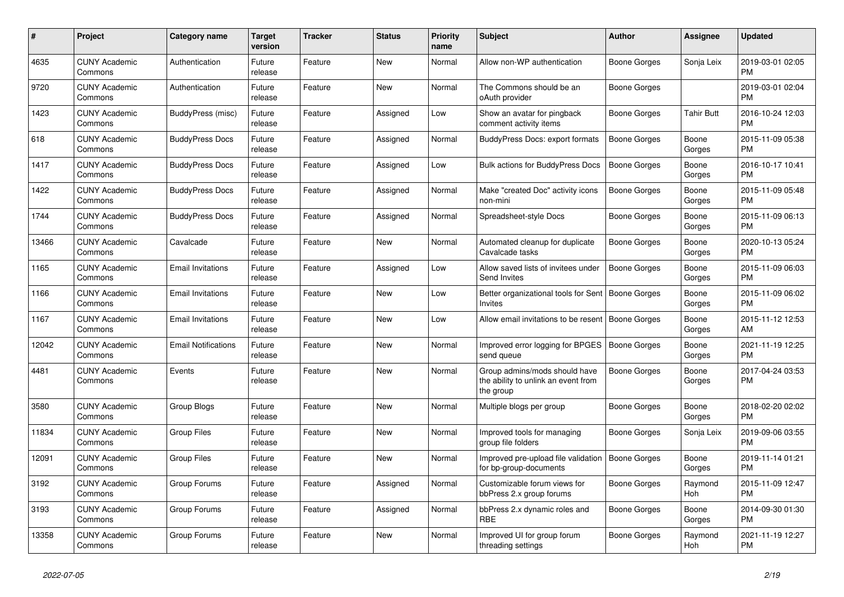| $\#$  | Project                         | <b>Category name</b>       | Target<br>version | <b>Tracker</b> | <b>Status</b> | <b>Priority</b><br>name | <b>Subject</b>                                                                    | <b>Author</b>       | Assignee              | <b>Updated</b>                |
|-------|---------------------------------|----------------------------|-------------------|----------------|---------------|-------------------------|-----------------------------------------------------------------------------------|---------------------|-----------------------|-------------------------------|
| 4635  | <b>CUNY Academic</b><br>Commons | Authentication             | Future<br>release | Feature        | New           | Normal                  | Allow non-WP authentication                                                       | Boone Gorges        | Sonja Leix            | 2019-03-01 02:05<br><b>PM</b> |
| 9720  | <b>CUNY Academic</b><br>Commons | Authentication             | Future<br>release | Feature        | New           | Normal                  | The Commons should be an<br>oAuth provider                                        | Boone Gorges        |                       | 2019-03-01 02:04<br><b>PM</b> |
| 1423  | <b>CUNY Academic</b><br>Commons | BuddyPress (misc)          | Future<br>release | Feature        | Assigned      | Low                     | Show an avatar for pingback<br>comment activity items                             | Boone Gorges        | <b>Tahir Butt</b>     | 2016-10-24 12:03<br><b>PM</b> |
| 618   | <b>CUNY Academic</b><br>Commons | <b>BuddyPress Docs</b>     | Future<br>release | Feature        | Assigned      | Normal                  | BuddyPress Docs: export formats                                                   | <b>Boone Gorges</b> | Boone<br>Gorges       | 2015-11-09 05:38<br><b>PM</b> |
| 1417  | <b>CUNY Academic</b><br>Commons | <b>BuddyPress Docs</b>     | Future<br>release | Feature        | Assigned      | Low                     | <b>Bulk actions for BuddyPress Docs</b>                                           | <b>Boone Gorges</b> | Boone<br>Gorges       | 2016-10-17 10:41<br><b>PM</b> |
| 1422  | <b>CUNY Academic</b><br>Commons | <b>BuddyPress Docs</b>     | Future<br>release | Feature        | Assigned      | Normal                  | Make "created Doc" activity icons<br>non-mini                                     | Boone Gorges        | Boone<br>Gorges       | 2015-11-09 05:48<br><b>PM</b> |
| 1744  | <b>CUNY Academic</b><br>Commons | <b>BuddyPress Docs</b>     | Future<br>release | Feature        | Assigned      | Normal                  | Spreadsheet-style Docs                                                            | Boone Gorges        | Boone<br>Gorges       | 2015-11-09 06:13<br><b>PM</b> |
| 13466 | <b>CUNY Academic</b><br>Commons | Cavalcade                  | Future<br>release | Feature        | <b>New</b>    | Normal                  | Automated cleanup for duplicate<br>Cavalcade tasks                                | Boone Gorges        | Boone<br>Gorges       | 2020-10-13 05:24<br><b>PM</b> |
| 1165  | <b>CUNY Academic</b><br>Commons | Email Invitations          | Future<br>release | Feature        | Assigned      | Low                     | Allow saved lists of invitees under<br><b>Send Invites</b>                        | Boone Gorges        | Boone<br>Gorges       | 2015-11-09 06:03<br><b>PM</b> |
| 1166  | <b>CUNY Academic</b><br>Commons | <b>Email Invitations</b>   | Future<br>release | Feature        | New           | Low                     | Better organizational tools for Sent   Boone Gorges<br><b>Invites</b>             |                     | Boone<br>Gorges       | 2015-11-09 06:02<br><b>PM</b> |
| 1167  | <b>CUNY Academic</b><br>Commons | <b>Email Invitations</b>   | Future<br>release | Feature        | <b>New</b>    | Low                     | Allow email invitations to be resent                                              | Boone Gorges        | Boone<br>Gorges       | 2015-11-12 12:53<br>AM        |
| 12042 | <b>CUNY Academic</b><br>Commons | <b>Email Notifications</b> | Future<br>release | Feature        | New           | Normal                  | Improved error logging for BPGES<br>send queue                                    | Boone Gorges        | Boone<br>Gorges       | 2021-11-19 12:25<br><b>PM</b> |
| 4481  | <b>CUNY Academic</b><br>Commons | Events                     | Future<br>release | Feature        | <b>New</b>    | Normal                  | Group admins/mods should have<br>the ability to unlink an event from<br>the group | <b>Boone Gorges</b> | Boone<br>Gorges       | 2017-04-24 03:53<br><b>PM</b> |
| 3580  | <b>CUNY Academic</b><br>Commons | Group Blogs                | Future<br>release | Feature        | New           | Normal                  | Multiple blogs per group                                                          | Boone Gorges        | Boone<br>Gorges       | 2018-02-20 02:02<br><b>PM</b> |
| 11834 | <b>CUNY Academic</b><br>Commons | <b>Group Files</b>         | Future<br>release | Feature        | New           | Normal                  | Improved tools for managing<br>group file folders                                 | Boone Gorges        | Sonja Leix            | 2019-09-06 03:55<br><b>PM</b> |
| 12091 | <b>CUNY Academic</b><br>Commons | <b>Group Files</b>         | Future<br>release | Feature        | New           | Normal                  | Improved pre-upload file validation   Boone Gorges<br>for bp-group-documents      |                     | Boone<br>Gorges       | 2019-11-14 01:21<br><b>PM</b> |
| 3192  | <b>CUNY Academic</b><br>Commons | Group Forums               | Future<br>release | Feature        | Assigned      | Normal                  | Customizable forum views for<br>bbPress 2.x group forums                          | Boone Gorges        | Raymond<br><b>Hoh</b> | 2015-11-09 12:47<br><b>PM</b> |
| 3193  | <b>CUNY Academic</b><br>Commons | Group Forums               | Future<br>release | Feature        | Assigned      | Normal                  | bbPress 2.x dynamic roles and<br><b>RBE</b>                                       | Boone Gorges        | Boone<br>Gorges       | 2014-09-30 01:30<br><b>PM</b> |
| 13358 | <b>CUNY Academic</b><br>Commons | Group Forums               | Future<br>release | Feature        | <b>New</b>    | Normal                  | Improved UI for group forum<br>threading settings                                 | Boone Gorges        | Raymond<br>Hoh        | 2021-11-19 12:27<br><b>PM</b> |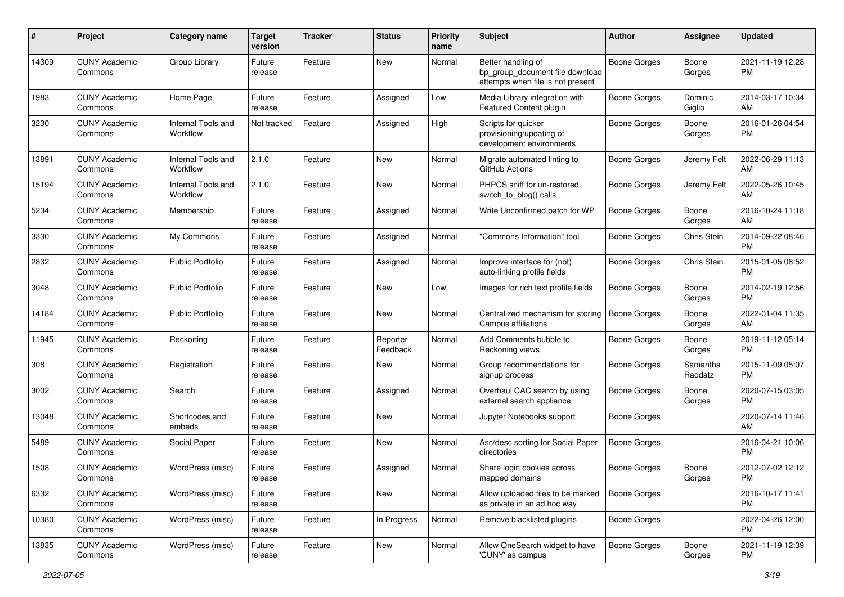| #     | Project                         | Category name                  | <b>Target</b><br>version | <b>Tracker</b> | <b>Status</b>        | <b>Priority</b><br>name | <b>Subject</b>                                                                             | Author              | <b>Assignee</b>     | <b>Updated</b>                |
|-------|---------------------------------|--------------------------------|--------------------------|----------------|----------------------|-------------------------|--------------------------------------------------------------------------------------------|---------------------|---------------------|-------------------------------|
| 14309 | <b>CUNY Academic</b><br>Commons | Group Library                  | Future<br>release        | Feature        | <b>New</b>           | Normal                  | Better handling of<br>bp_group_document file download<br>attempts when file is not present | <b>Boone Gorges</b> | Boone<br>Gorges     | 2021-11-19 12:28<br><b>PM</b> |
| 1983  | <b>CUNY Academic</b><br>Commons | Home Page                      | Future<br>release        | Feature        | Assigned             | Low                     | Media Library integration with<br>Featured Content plugin                                  | <b>Boone Gorges</b> | Dominic<br>Giglio   | 2014-03-17 10:34<br>AM        |
| 3230  | <b>CUNY Academic</b><br>Commons | Internal Tools and<br>Workflow | Not tracked              | Feature        | Assigned             | High                    | Scripts for quicker<br>provisioning/updating of<br>development environments                | <b>Boone Gorges</b> | Boone<br>Gorges     | 2016-01-26 04:54<br><b>PM</b> |
| 13891 | <b>CUNY Academic</b><br>Commons | Internal Tools and<br>Workflow | 2.1.0                    | Feature        | New                  | Normal                  | Migrate automated linting to<br>GitHub Actions                                             | Boone Gorges        | Jeremy Felt         | 2022-06-29 11:13<br>AM        |
| 15194 | <b>CUNY Academic</b><br>Commons | Internal Tools and<br>Workflow | 2.1.0                    | Feature        | New                  | Normal                  | PHPCS sniff for un-restored<br>switch_to_blog() calls                                      | <b>Boone Gorges</b> | Jeremy Felt         | 2022-05-26 10:45<br>AM        |
| 5234  | <b>CUNY Academic</b><br>Commons | Membership                     | Future<br>release        | Feature        | Assigned             | Normal                  | Write Unconfirmed patch for WP                                                             | Boone Gorges        | Boone<br>Gorges     | 2016-10-24 11:18<br>AM        |
| 3330  | <b>CUNY Academic</b><br>Commons | My Commons                     | Future<br>release        | Feature        | Assigned             | Normal                  | "Commons Information" tool                                                                 | <b>Boone Gorges</b> | Chris Stein         | 2014-09-22 08:46<br><b>PM</b> |
| 2832  | <b>CUNY Academic</b><br>Commons | <b>Public Portfolio</b>        | Future<br>release        | Feature        | Assigned             | Normal                  | Improve interface for (not)<br>auto-linking profile fields                                 | <b>Boone Gorges</b> | Chris Stein         | 2015-01-05 08:52<br><b>PM</b> |
| 3048  | <b>CUNY Academic</b><br>Commons | Public Portfolio               | Future<br>release        | Feature        | New                  | Low                     | Images for rich text profile fields                                                        | Boone Gorges        | Boone<br>Gorges     | 2014-02-19 12:56<br><b>PM</b> |
| 14184 | <b>CUNY Academic</b><br>Commons | <b>Public Portfolio</b>        | Future<br>release        | Feature        | <b>New</b>           | Normal                  | Centralized mechanism for storing<br>Campus affiliations                                   | <b>Boone Gorges</b> | Boone<br>Gorges     | 2022-01-04 11:35<br>AM        |
| 11945 | <b>CUNY Academic</b><br>Commons | Reckoning                      | Future<br>release        | Feature        | Reporter<br>Feedback | Normal                  | Add Comments bubble to<br>Reckoning views                                                  | Boone Gorges        | Boone<br>Gorges     | 2019-11-12 05:14<br><b>PM</b> |
| 308   | <b>CUNY Academic</b><br>Commons | Registration                   | Future<br>release        | Feature        | New                  | Normal                  | Group recommendations for<br>signup process                                                | Boone Gorges        | Samantha<br>Raddatz | 2015-11-09 05:07<br><b>PM</b> |
| 3002  | <b>CUNY Academic</b><br>Commons | Search                         | Future<br>release        | Feature        | Assigned             | Normal                  | Overhaul CAC search by using<br>external search appliance                                  | Boone Gorges        | Boone<br>Gorges     | 2020-07-15 03:05<br><b>PM</b> |
| 13048 | <b>CUNY Academic</b><br>Commons | Shortcodes and<br>embeds       | Future<br>release        | Feature        | <b>New</b>           | Normal                  | Jupyter Notebooks support                                                                  | Boone Gorges        |                     | 2020-07-14 11:46<br>AM        |
| 5489  | <b>CUNY Academic</b><br>Commons | Social Paper                   | Future<br>release        | Feature        | New                  | Normal                  | Asc/desc sorting for Social Paper<br>directories                                           | <b>Boone Gorges</b> |                     | 2016-04-21 10:06<br><b>PM</b> |
| 1508  | <b>CUNY Academic</b><br>Commons | WordPress (misc)               | Future<br>release        | Feature        | Assigned             | Normal                  | Share login cookies across<br>mapped domains                                               | <b>Boone Gorges</b> | Boone<br>Gorges     | 2012-07-02 12:12<br>PM        |
| 6332  | <b>CUNY Academic</b><br>Commons | WordPress (misc)               | Future<br>release        | Feature        | New                  | Normal                  | Allow uploaded files to be marked<br>as private in an ad hoc way                           | Boone Gorges        |                     | 2016-10-17 11:41<br><b>PM</b> |
| 10380 | <b>CUNY Academic</b><br>Commons | WordPress (misc)               | Future<br>release        | Feature        | In Progress          | Normal                  | Remove blacklisted plugins                                                                 | <b>Boone Gorges</b> |                     | 2022-04-26 12:00<br><b>PM</b> |
| 13835 | <b>CUNY Academic</b><br>Commons | WordPress (misc)               | Future<br>release        | Feature        | New                  | Normal                  | Allow OneSearch widget to have<br>'CUNY' as campus                                         | <b>Boone Gorges</b> | Boone<br>Gorges     | 2021-11-19 12:39<br><b>PM</b> |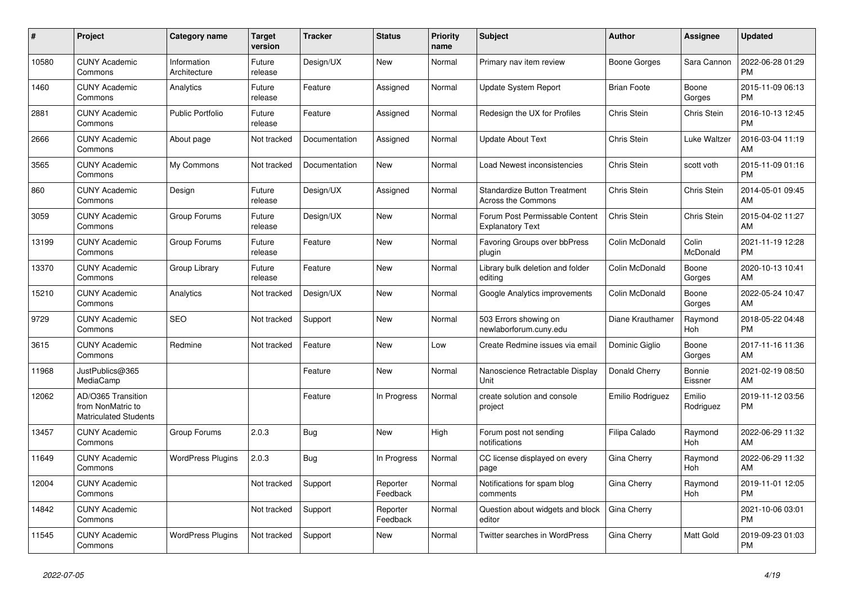| #     | Project                                                          | <b>Category name</b>        | <b>Target</b><br>version | <b>Tracker</b> | <b>Status</b>        | <b>Priority</b><br>name | <b>Subject</b>                                                   | <b>Author</b>      | Assignee                 | <b>Updated</b>                |
|-------|------------------------------------------------------------------|-----------------------------|--------------------------|----------------|----------------------|-------------------------|------------------------------------------------------------------|--------------------|--------------------------|-------------------------------|
| 10580 | <b>CUNY Academic</b><br>Commons                                  | Information<br>Architecture | Future<br>release        | Design/UX      | <b>New</b>           | Normal                  | Primary nav item review                                          | Boone Gorges       | Sara Cannon              | 2022-06-28 01:29<br><b>PM</b> |
| 1460  | <b>CUNY Academic</b><br>Commons                                  | Analytics                   | Future<br>release        | Feature        | Assigned             | Normal                  | <b>Update System Report</b>                                      | <b>Brian Foote</b> | Boone<br>Gorges          | 2015-11-09 06:13<br><b>PM</b> |
| 2881  | <b>CUNY Academic</b><br>Commons                                  | <b>Public Portfolio</b>     | Future<br>release        | Feature        | Assigned             | Normal                  | Redesign the UX for Profiles                                     | Chris Stein        | Chris Stein              | 2016-10-13 12:45<br><b>PM</b> |
| 2666  | <b>CUNY Academic</b><br>Commons                                  | About page                  | Not tracked              | Documentation  | Assigned             | Normal                  | <b>Update About Text</b>                                         | Chris Stein        | Luke Waltzer             | 2016-03-04 11:19<br>AM        |
| 3565  | <b>CUNY Academic</b><br>Commons                                  | My Commons                  | Not tracked              | Documentation  | New                  | Normal                  | Load Newest inconsistencies                                      | Chris Stein        | scott voth               | 2015-11-09 01:16<br><b>PM</b> |
| 860   | <b>CUNY Academic</b><br>Commons                                  | Design                      | Future<br>release        | Design/UX      | Assigned             | Normal                  | <b>Standardize Button Treatment</b><br><b>Across the Commons</b> | Chris Stein        | Chris Stein              | 2014-05-01 09:45<br>AM        |
| 3059  | <b>CUNY Academic</b><br>Commons                                  | Group Forums                | Future<br>release        | Design/UX      | <b>New</b>           | Normal                  | Forum Post Permissable Content<br><b>Explanatory Text</b>        | Chris Stein        | Chris Stein              | 2015-04-02 11:27<br>AM        |
| 13199 | <b>CUNY Academic</b><br>Commons                                  | Group Forums                | Future<br>release        | Feature        | <b>New</b>           | Normal                  | Favoring Groups over bbPress<br>plugin                           | Colin McDonald     | Colin<br><b>McDonald</b> | 2021-11-19 12:28<br><b>PM</b> |
| 13370 | <b>CUNY Academic</b><br>Commons                                  | Group Library               | Future<br>release        | Feature        | <b>New</b>           | Normal                  | Library bulk deletion and folder<br>editing                      | Colin McDonald     | Boone<br>Gorges          | 2020-10-13 10:41<br>AM        |
| 15210 | <b>CUNY Academic</b><br>Commons                                  | Analytics                   | Not tracked              | Design/UX      | New                  | Normal                  | Google Analytics improvements                                    | Colin McDonald     | Boone<br>Gorges          | 2022-05-24 10:47<br>AM        |
| 9729  | <b>CUNY Academic</b><br>Commons                                  | <b>SEO</b>                  | Not tracked              | Support        | <b>New</b>           | Normal                  | 503 Errors showing on<br>newlaborforum.cuny.edu                  | Diane Krauthamer   | Raymond<br>Hoh           | 2018-05-22 04:48<br><b>PM</b> |
| 3615  | <b>CUNY Academic</b><br>Commons                                  | Redmine                     | Not tracked              | Feature        | New                  | Low                     | Create Redmine issues via email                                  | Dominic Giglio     | Boone<br>Gorges          | 2017-11-16 11:36<br>AM        |
| 11968 | JustPublics@365<br>MediaCamp                                     |                             |                          | Feature        | New                  | Normal                  | Nanoscience Retractable Display<br>Unit                          | Donald Cherry      | Bonnie<br>Eissner        | 2021-02-19 08:50<br>AM        |
| 12062 | AD/O365 Transition<br>from NonMatric to<br>Matriculated Students |                             |                          | Feature        | In Progress          | Normal                  | create solution and console<br>project                           | Emilio Rodriguez   | Emilio<br>Rodriguez      | 2019-11-12 03:56<br><b>PM</b> |
| 13457 | <b>CUNY Academic</b><br>Commons                                  | Group Forums                | 2.0.3                    | Bug            | <b>New</b>           | High                    | Forum post not sending<br>notifications                          | Filipa Calado      | Raymond<br>Hoh           | 2022-06-29 11:32<br>AM        |
| 11649 | <b>CUNY Academic</b><br>Commons                                  | <b>WordPress Plugins</b>    | 2.0.3                    | Bug            | In Progress          | Normal                  | CC license displayed on every<br>page                            | Gina Cherry        | Raymond<br>Hoh           | 2022-06-29 11:32<br>AM        |
| 12004 | <b>CUNY Academic</b><br>Commons                                  |                             | Not tracked              | Support        | Reporter<br>Feedback | Normal                  | Notifications for spam blog<br>comments                          | Gina Cherry        | Raymond<br>Hoh           | 2019-11-01 12:05<br><b>PM</b> |
| 14842 | <b>CUNY Academic</b><br>Commons                                  |                             | Not tracked              | Support        | Reporter<br>Feedback | Normal                  | Question about widgets and block<br>editor                       | Gina Cherry        |                          | 2021-10-06 03:01<br><b>PM</b> |
| 11545 | <b>CUNY Academic</b><br>Commons                                  | <b>WordPress Plugins</b>    | Not tracked              | Support        | <b>New</b>           | Normal                  | <b>Twitter searches in WordPress</b>                             | Gina Cherry        | Matt Gold                | 2019-09-23 01:03<br><b>PM</b> |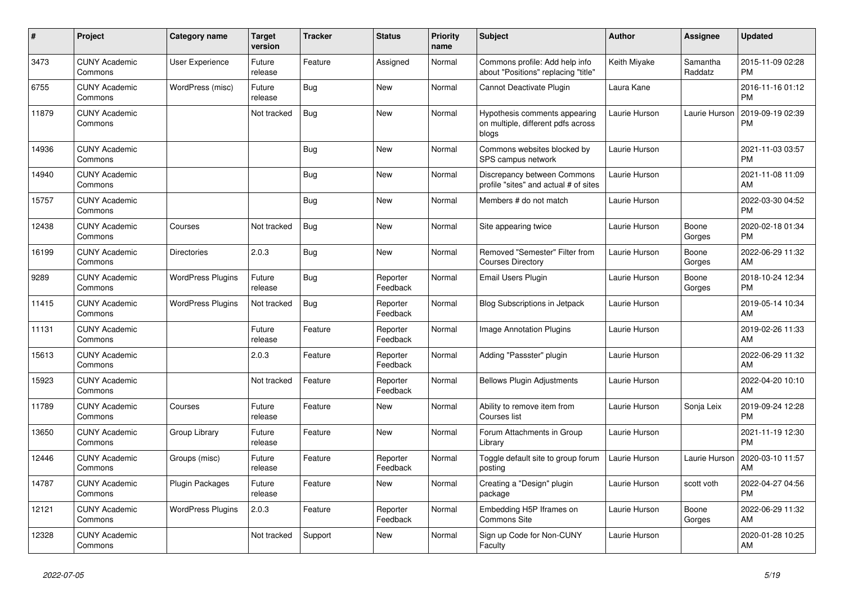| #     | Project                         | Category name            | <b>Target</b><br>version | <b>Tracker</b> | <b>Status</b>        | <b>Priority</b><br>name | <b>Subject</b>                                                               | <b>Author</b> | Assignee            | <b>Updated</b>                |
|-------|---------------------------------|--------------------------|--------------------------|----------------|----------------------|-------------------------|------------------------------------------------------------------------------|---------------|---------------------|-------------------------------|
| 3473  | <b>CUNY Academic</b><br>Commons | <b>User Experience</b>   | Future<br>release        | Feature        | Assigned             | Normal                  | Commons profile: Add help info<br>about "Positions" replacing "title"        | Keith Miyake  | Samantha<br>Raddatz | 2015-11-09 02:28<br><b>PM</b> |
| 6755  | <b>CUNY Academic</b><br>Commons | WordPress (misc)         | Future<br>release        | Bug            | <b>New</b>           | Normal                  | Cannot Deactivate Plugin                                                     | Laura Kane    |                     | 2016-11-16 01:12<br><b>PM</b> |
| 11879 | <b>CUNY Academic</b><br>Commons |                          | Not tracked              | Bug            | <b>New</b>           | Normal                  | Hypothesis comments appearing<br>on multiple, different pdfs across<br>blogs | Laurie Hurson | Laurie Hurson       | 2019-09-19 02:39<br><b>PM</b> |
| 14936 | <b>CUNY Academic</b><br>Commons |                          |                          | Bug            | <b>New</b>           | Normal                  | Commons websites blocked by<br>SPS campus network                            | Laurie Hurson |                     | 2021-11-03 03:57<br><b>PM</b> |
| 14940 | <b>CUNY Academic</b><br>Commons |                          |                          | Bug            | <b>New</b>           | Normal                  | Discrepancy between Commons<br>profile "sites" and actual # of sites         | Laurie Hurson |                     | 2021-11-08 11:09<br>AM        |
| 15757 | <b>CUNY Academic</b><br>Commons |                          |                          | <b>Bug</b>     | <b>New</b>           | Normal                  | Members # do not match                                                       | Laurie Hurson |                     | 2022-03-30 04:52<br><b>PM</b> |
| 12438 | <b>CUNY Academic</b><br>Commons | Courses                  | Not tracked              | Bug            | <b>New</b>           | Normal                  | Site appearing twice                                                         | Laurie Hurson | Boone<br>Gorges     | 2020-02-18 01:34<br><b>PM</b> |
| 16199 | <b>CUNY Academic</b><br>Commons | <b>Directories</b>       | 2.0.3                    | Bug            | <b>New</b>           | Normal                  | Removed "Semester" Filter from<br><b>Courses Directory</b>                   | Laurie Hurson | Boone<br>Gorges     | 2022-06-29 11:32<br>AM        |
| 9289  | <b>CUNY Academic</b><br>Commons | <b>WordPress Plugins</b> | Future<br>release        | Bug            | Reporter<br>Feedback | Normal                  | Email Users Plugin                                                           | Laurie Hurson | Boone<br>Gorges     | 2018-10-24 12:34<br><b>PM</b> |
| 11415 | <b>CUNY Academic</b><br>Commons | <b>WordPress Plugins</b> | Not tracked              | Bug            | Reporter<br>Feedback | Normal                  | <b>Blog Subscriptions in Jetpack</b>                                         | Laurie Hurson |                     | 2019-05-14 10:34<br>AM        |
| 11131 | <b>CUNY Academic</b><br>Commons |                          | Future<br>release        | Feature        | Reporter<br>Feedback | Normal                  | <b>Image Annotation Plugins</b>                                              | Laurie Hurson |                     | 2019-02-26 11:33<br>AM        |
| 15613 | <b>CUNY Academic</b><br>Commons |                          | 2.0.3                    | Feature        | Reporter<br>Feedback | Normal                  | Adding "Passster" plugin                                                     | Laurie Hurson |                     | 2022-06-29 11:32<br>AM        |
| 15923 | <b>CUNY Academic</b><br>Commons |                          | Not tracked              | Feature        | Reporter<br>Feedback | Normal                  | <b>Bellows Plugin Adjustments</b>                                            | Laurie Hurson |                     | 2022-04-20 10:10<br>AM        |
| 11789 | <b>CUNY Academic</b><br>Commons | Courses                  | Future<br>release        | Feature        | <b>New</b>           | Normal                  | Ability to remove item from<br>Courses list                                  | Laurie Hurson | Sonja Leix          | 2019-09-24 12:28<br><b>PM</b> |
| 13650 | <b>CUNY Academic</b><br>Commons | Group Library            | Future<br>release        | Feature        | New                  | Normal                  | Forum Attachments in Group<br>Library                                        | Laurie Hurson |                     | 2021-11-19 12:30<br><b>PM</b> |
| 12446 | <b>CUNY Academic</b><br>Commons | Groups (misc)            | Future<br>release        | Feature        | Reporter<br>Feedback | Normal                  | Toggle default site to group forum<br>posting                                | Laurie Hurson | Laurie Hurson       | 2020-03-10 11:57<br>AM        |
| 14787 | <b>CUNY Academic</b><br>Commons | Plugin Packages          | Future<br>release        | Feature        | <b>New</b>           | Normal                  | Creating a "Design" plugin<br>package                                        | Laurie Hurson | scott voth          | 2022-04-27 04:56<br><b>PM</b> |
| 12121 | <b>CUNY Academic</b><br>Commons | <b>WordPress Plugins</b> | 2.0.3                    | Feature        | Reporter<br>Feedback | Normal                  | Embedding H5P Iframes on<br><b>Commons Site</b>                              | Laurie Hurson | Boone<br>Gorges     | 2022-06-29 11:32<br>AM        |
| 12328 | <b>CUNY Academic</b><br>Commons |                          | Not tracked              | Support        | <b>New</b>           | Normal                  | Sign up Code for Non-CUNY<br>Faculty                                         | Laurie Hurson |                     | 2020-01-28 10:25<br>AM        |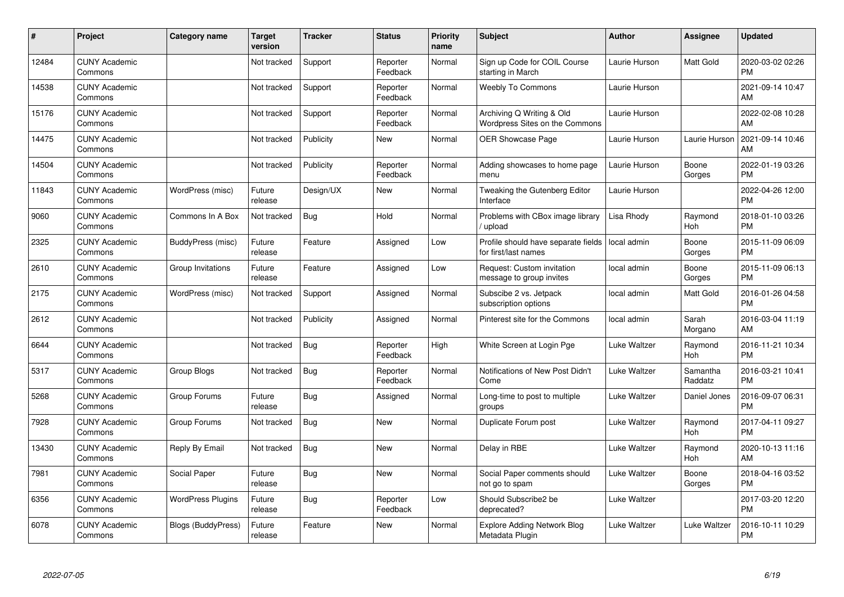| #     | Project                         | <b>Category name</b>      | <b>Target</b><br>version | <b>Tracker</b> | <b>Status</b>        | <b>Priority</b><br>name | <b>Subject</b>                                              | <b>Author</b> | Assignee            | <b>Updated</b>                |
|-------|---------------------------------|---------------------------|--------------------------|----------------|----------------------|-------------------------|-------------------------------------------------------------|---------------|---------------------|-------------------------------|
| 12484 | <b>CUNY Academic</b><br>Commons |                           | Not tracked              | Support        | Reporter<br>Feedback | Normal                  | Sign up Code for COIL Course<br>starting in March           | Laurie Hurson | Matt Gold           | 2020-03-02 02:26<br><b>PM</b> |
| 14538 | <b>CUNY Academic</b><br>Commons |                           | Not tracked              | Support        | Reporter<br>Feedback | Normal                  | <b>Weebly To Commons</b>                                    | Laurie Hurson |                     | 2021-09-14 10:47<br><b>AM</b> |
| 15176 | <b>CUNY Academic</b><br>Commons |                           | Not tracked              | Support        | Reporter<br>Feedback | Normal                  | Archiving Q Writing & Old<br>Wordpress Sites on the Commons | Laurie Hurson |                     | 2022-02-08 10:28<br>AM        |
| 14475 | <b>CUNY Academic</b><br>Commons |                           | Not tracked              | Publicity      | <b>New</b>           | Normal                  | <b>OER Showcase Page</b>                                    | Laurie Hurson | Laurie Hurson       | 2021-09-14 10:46<br>AM        |
| 14504 | <b>CUNY Academic</b><br>Commons |                           | Not tracked              | Publicity      | Reporter<br>Feedback | Normal                  | Adding showcases to home page<br>menu                       | Laurie Hurson | Boone<br>Gorges     | 2022-01-19 03:26<br><b>PM</b> |
| 11843 | <b>CUNY Academic</b><br>Commons | WordPress (misc)          | Future<br>release        | Design/UX      | <b>New</b>           | Normal                  | Tweaking the Gutenberg Editor<br>Interface                  | Laurie Hurson |                     | 2022-04-26 12:00<br><b>PM</b> |
| 9060  | <b>CUNY Academic</b><br>Commons | Commons In A Box          | Not tracked              | Bug            | Hold                 | Normal                  | Problems with CBox image library<br>/ upload                | Lisa Rhody    | Raymond<br>Hoh      | 2018-01-10 03:26<br><b>PM</b> |
| 2325  | <b>CUNY Academic</b><br>Commons | BuddyPress (misc)         | Future<br>release        | Feature        | Assigned             | Low                     | Profile should have separate fields<br>for first/last names | local admin   | Boone<br>Gorges     | 2015-11-09 06:09<br><b>PM</b> |
| 2610  | <b>CUNY Academic</b><br>Commons | Group Invitations         | Future<br>release        | Feature        | Assigned             | Low                     | Request: Custom invitation<br>message to group invites      | local admin   | Boone<br>Gorges     | 2015-11-09 06:13<br><b>PM</b> |
| 2175  | <b>CUNY Academic</b><br>Commons | WordPress (misc)          | Not tracked              | Support        | Assigned             | Normal                  | Subscibe 2 vs. Jetpack<br>subscription options              | local admin   | Matt Gold           | 2016-01-26 04:58<br>PM        |
| 2612  | <b>CUNY Academic</b><br>Commons |                           | Not tracked              | Publicity      | Assigned             | Normal                  | Pinterest site for the Commons                              | local admin   | Sarah<br>Morgano    | 2016-03-04 11:19<br>AM        |
| 6644  | <b>CUNY Academic</b><br>Commons |                           | Not tracked              | Bug            | Reporter<br>Feedback | High                    | White Screen at Login Pge                                   | Luke Waltzer  | Raymond<br>Hoh      | 2016-11-21 10:34<br><b>PM</b> |
| 5317  | <b>CUNY Academic</b><br>Commons | Group Blogs               | Not tracked              | <b>Bug</b>     | Reporter<br>Feedback | Normal                  | Notifications of New Post Didn't<br>Come                    | Luke Waltzer  | Samantha<br>Raddatz | 2016-03-21 10:41<br><b>PM</b> |
| 5268  | <b>CUNY Academic</b><br>Commons | Group Forums              | Future<br>release        | Bug            | Assigned             | Normal                  | Long-time to post to multiple<br>groups                     | Luke Waltzer  | Daniel Jones        | 2016-09-07 06:31<br><b>PM</b> |
| 7928  | <b>CUNY Academic</b><br>Commons | Group Forums              | Not tracked              | <b>Bug</b>     | New                  | Normal                  | Duplicate Forum post                                        | Luke Waltzer  | Raymond<br>Hoh      | 2017-04-11 09:27<br><b>PM</b> |
| 13430 | <b>CUNY Academic</b><br>Commons | Reply By Email            | Not tracked              | <b>Bug</b>     | New                  | Normal                  | Delay in RBE                                                | Luke Waltzer  | Raymond<br>Hoh      | 2020-10-13 11:16<br>AM        |
| 7981  | <b>CUNY Academic</b><br>Commons | Social Paper              | Future<br>release        | Bug            | New                  | Normal                  | Social Paper comments should<br>not go to spam              | Luke Waltzer  | Boone<br>Gorges     | 2018-04-16 03:52<br><b>PM</b> |
| 6356  | <b>CUNY Academic</b><br>Commons | <b>WordPress Plugins</b>  | Future<br>release        | Bug            | Reporter<br>Feedback | Low                     | Should Subscribe2 be<br>deprecated?                         | Luke Waltzer  |                     | 2017-03-20 12:20<br><b>PM</b> |
| 6078  | <b>CUNY Academic</b><br>Commons | <b>Blogs (BuddyPress)</b> | Future<br>release        | Feature        | <b>New</b>           | Normal                  | <b>Explore Adding Network Blog</b><br>Metadata Plugin       | Luke Waltzer  | Luke Waltzer        | 2016-10-11 10:29<br>PM        |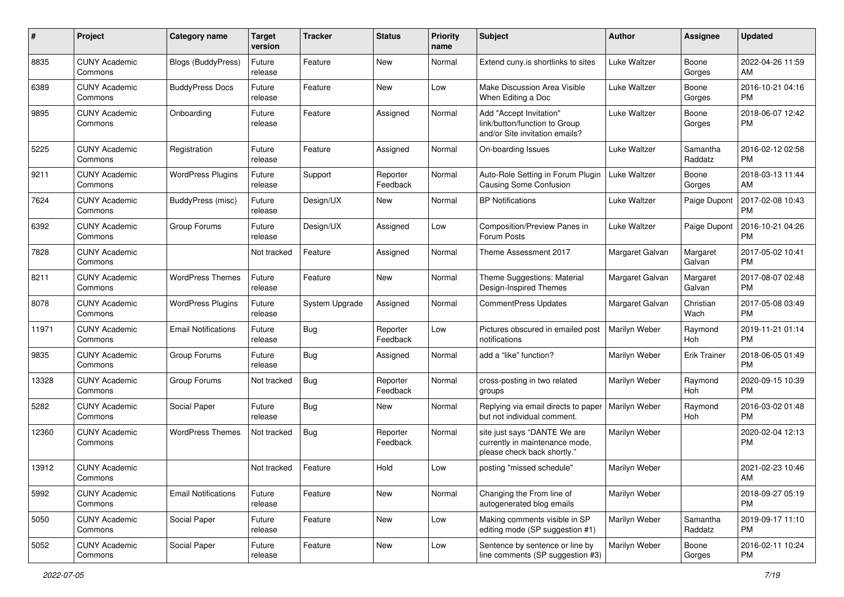| #     | Project                         | <b>Category name</b>       | <b>Target</b><br>version | <b>Tracker</b> | <b>Status</b>        | <b>Priority</b><br>name | <b>Subject</b>                                                                                | Author          | <b>Assignee</b>     | <b>Updated</b>                |
|-------|---------------------------------|----------------------------|--------------------------|----------------|----------------------|-------------------------|-----------------------------------------------------------------------------------------------|-----------------|---------------------|-------------------------------|
| 8835  | <b>CUNY Academic</b><br>Commons | Blogs (BuddyPress)         | Future<br>release        | Feature        | New                  | Normal                  | Extend cuny is shortlinks to sites                                                            | Luke Waltzer    | Boone<br>Gorges     | 2022-04-26 11:59<br>AM        |
| 6389  | <b>CUNY Academic</b><br>Commons | <b>BuddyPress Docs</b>     | Future<br>release        | Feature        | New                  | Low                     | Make Discussion Area Visible<br>When Editing a Doc                                            | Luke Waltzer    | Boone<br>Gorges     | 2016-10-21 04:16<br><b>PM</b> |
| 9895  | <b>CUNY Academic</b><br>Commons | Onboarding                 | Future<br>release        | Feature        | Assigned             | Normal                  | Add "Accept Invitation"<br>link/button/function to Group<br>and/or Site invitation emails?    | Luke Waltzer    | Boone<br>Gorges     | 2018-06-07 12:42<br><b>PM</b> |
| 5225  | <b>CUNY Academic</b><br>Commons | Registration               | Future<br>release        | Feature        | Assigned             | Normal                  | On-boarding Issues                                                                            | Luke Waltzer    | Samantha<br>Raddatz | 2016-02-12 02:58<br><b>PM</b> |
| 9211  | <b>CUNY Academic</b><br>Commons | <b>WordPress Plugins</b>   | Future<br>release        | Support        | Reporter<br>Feedback | Normal                  | Auto-Role Setting in Forum Plugin<br><b>Causing Some Confusion</b>                            | Luke Waltzer    | Boone<br>Gorges     | 2018-03-13 11:44<br>AM        |
| 7624  | <b>CUNY Academic</b><br>Commons | <b>BuddyPress (misc)</b>   | Future<br>release        | Design/UX      | New                  | Normal                  | <b>BP Notifications</b>                                                                       | Luke Waltzer    | Paige Dupont        | 2017-02-08 10:43<br><b>PM</b> |
| 6392  | <b>CUNY Academic</b><br>Commons | Group Forums               | Future<br>release        | Design/UX      | Assigned             | Low                     | Composition/Preview Panes in<br>Forum Posts                                                   | Luke Waltzer    | Paige Dupont        | 2016-10-21 04:26<br><b>PM</b> |
| 7828  | <b>CUNY Academic</b><br>Commons |                            | Not tracked              | Feature        | Assigned             | Normal                  | Theme Assessment 2017                                                                         | Margaret Galvan | Margaret<br>Galvan  | 2017-05-02 10:41<br><b>PM</b> |
| 8211  | <b>CUNY Academic</b><br>Commons | <b>WordPress Themes</b>    | Future<br>release        | Feature        | New                  | Normal                  | Theme Suggestions: Material<br>Design-Inspired Themes                                         | Margaret Galvan | Margaret<br>Galvan  | 2017-08-07 02:48<br><b>PM</b> |
| 8078  | <b>CUNY Academic</b><br>Commons | <b>WordPress Plugins</b>   | Future<br>release        | System Upgrade | Assigned             | Normal                  | <b>CommentPress Updates</b>                                                                   | Margaret Galvan | Christian<br>Wach   | 2017-05-08 03:49<br><b>PM</b> |
| 11971 | <b>CUNY Academic</b><br>Commons | <b>Email Notifications</b> | Future<br>release        | Bug            | Reporter<br>Feedback | Low                     | Pictures obscured in emailed post<br>notifications                                            | Marilyn Weber   | Raymond<br>Hoh      | 2019-11-21 01:14<br><b>PM</b> |
| 9835  | <b>CUNY Academic</b><br>Commons | Group Forums               | Future<br>release        | Bug            | Assigned             | Normal                  | add a "like" function?                                                                        | Marilyn Weber   | <b>Erik Trainer</b> | 2018-06-05 01:49<br><b>PM</b> |
| 13328 | <b>CUNY Academic</b><br>Commons | Group Forums               | Not tracked              | Bug            | Reporter<br>Feedback | Normal                  | cross-posting in two related<br>groups                                                        | Marilyn Weber   | Raymond<br>Hoh      | 2020-09-15 10:39<br><b>PM</b> |
| 5282  | <b>CUNY Academic</b><br>Commons | Social Paper               | Future<br>release        | Bug            | New                  | Normal                  | Replying via email directs to paper<br>but not individual comment.                            | Marilyn Weber   | Raymond<br>Hoh      | 2016-03-02 01:48<br><b>PM</b> |
| 12360 | <b>CUNY Academic</b><br>Commons | <b>WordPress Themes</b>    | Not tracked              | <b>Bug</b>     | Reporter<br>Feedback | Normal                  | site just says "DANTE We are<br>currently in maintenance mode,<br>please check back shortly." | Marilyn Weber   |                     | 2020-02-04 12:13<br><b>PM</b> |
| 13912 | <b>CUNY Academic</b><br>Commons |                            | Not tracked              | Feature        | Hold                 | Low                     | posting "missed schedule"                                                                     | Marilyn Weber   |                     | 2021-02-23 10:46<br>AM        |
| 5992  | <b>CUNY Academic</b><br>Commons | <b>Email Notifications</b> | Future<br>release        | Feature        | New                  | Normal                  | Changing the From line of<br>autogenerated blog emails                                        | Marilyn Weber   |                     | 2018-09-27 05:19<br>PM        |
| 5050  | <b>CUNY Academic</b><br>Commons | Social Paper               | Future<br>release        | Feature        | New                  | Low                     | Making comments visible in SP<br>editing mode (SP suggestion #1)                              | Marilyn Weber   | Samantha<br>Raddatz | 2019-09-17 11:10<br><b>PM</b> |
| 5052  | <b>CUNY Academic</b><br>Commons | Social Paper               | Future<br>release        | Feature        | New                  | Low                     | Sentence by sentence or line by<br>line comments (SP suggestion #3)                           | Marilyn Weber   | Boone<br>Gorges     | 2016-02-11 10:24<br>PM        |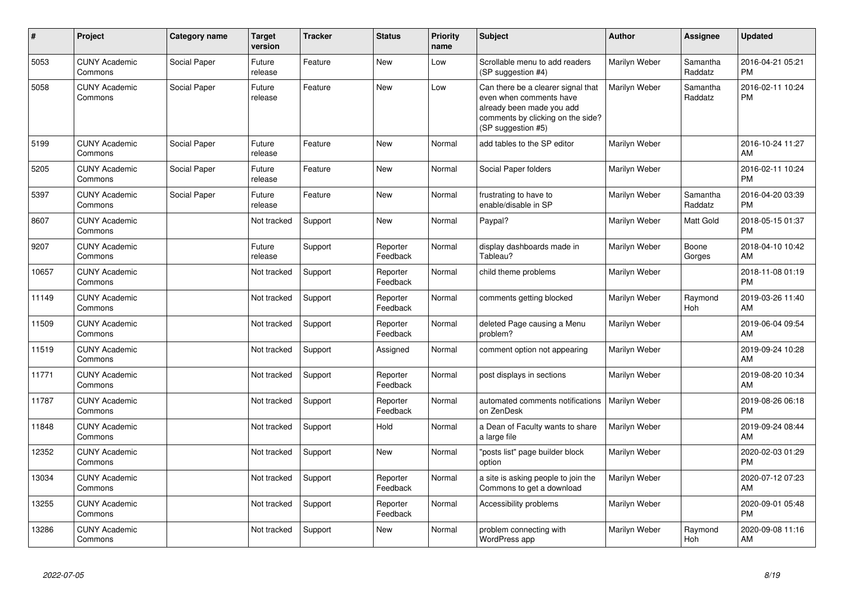| #     | Project                         | Category name | <b>Target</b><br>version | <b>Tracker</b> | <b>Status</b>        | <b>Priority</b><br>name | <b>Subject</b>                                                                                                                                        | <b>Author</b> | Assignee            | <b>Updated</b>                |
|-------|---------------------------------|---------------|--------------------------|----------------|----------------------|-------------------------|-------------------------------------------------------------------------------------------------------------------------------------------------------|---------------|---------------------|-------------------------------|
| 5053  | <b>CUNY Academic</b><br>Commons | Social Paper  | Future<br>release        | Feature        | <b>New</b>           | Low                     | Scrollable menu to add readers<br>(SP suggestion #4)                                                                                                  | Marilyn Weber | Samantha<br>Raddatz | 2016-04-21 05:21<br><b>PM</b> |
| 5058  | <b>CUNY Academic</b><br>Commons | Social Paper  | Future<br>release        | Feature        | <b>New</b>           | Low                     | Can there be a clearer signal that<br>even when comments have<br>already been made you add<br>comments by clicking on the side?<br>(SP suggestion #5) | Marilyn Weber | Samantha<br>Raddatz | 2016-02-11 10:24<br><b>PM</b> |
| 5199  | <b>CUNY Academic</b><br>Commons | Social Paper  | Future<br>release        | Feature        | <b>New</b>           | Normal                  | add tables to the SP editor                                                                                                                           | Marilyn Weber |                     | 2016-10-24 11:27<br>AM        |
| 5205  | <b>CUNY Academic</b><br>Commons | Social Paper  | Future<br>release        | Feature        | <b>New</b>           | Normal                  | Social Paper folders                                                                                                                                  | Marilyn Weber |                     | 2016-02-11 10:24<br><b>PM</b> |
| 5397  | <b>CUNY Academic</b><br>Commons | Social Paper  | Future<br>release        | Feature        | <b>New</b>           | Normal                  | frustrating to have to<br>enable/disable in SP                                                                                                        | Marilyn Weber | Samantha<br>Raddatz | 2016-04-20 03:39<br><b>PM</b> |
| 8607  | <b>CUNY Academic</b><br>Commons |               | Not tracked              | Support        | <b>New</b>           | Normal                  | Paypal?                                                                                                                                               | Marilyn Weber | Matt Gold           | 2018-05-15 01:37<br><b>PM</b> |
| 9207  | <b>CUNY Academic</b><br>Commons |               | Future<br>release        | Support        | Reporter<br>Feedback | Normal                  | display dashboards made in<br>Tableau?                                                                                                                | Marilyn Weber | Boone<br>Gorges     | 2018-04-10 10:42<br>AM        |
| 10657 | <b>CUNY Academic</b><br>Commons |               | Not tracked              | Support        | Reporter<br>Feedback | Normal                  | child theme problems                                                                                                                                  | Marilyn Weber |                     | 2018-11-08 01:19<br><b>PM</b> |
| 11149 | <b>CUNY Academic</b><br>Commons |               | Not tracked              | Support        | Reporter<br>Feedback | Normal                  | comments getting blocked                                                                                                                              | Marilyn Weber | Raymond<br>Hoh      | 2019-03-26 11:40<br>AM        |
| 11509 | <b>CUNY Academic</b><br>Commons |               | Not tracked              | Support        | Reporter<br>Feedback | Normal                  | deleted Page causing a Menu<br>problem?                                                                                                               | Marilyn Weber |                     | 2019-06-04 09:54<br>AM        |
| 11519 | <b>CUNY Academic</b><br>Commons |               | Not tracked              | Support        | Assigned             | Normal                  | comment option not appearing                                                                                                                          | Marilyn Weber |                     | 2019-09-24 10:28<br>AM        |
| 11771 | <b>CUNY Academic</b><br>Commons |               | Not tracked              | Support        | Reporter<br>Feedback | Normal                  | post displays in sections                                                                                                                             | Marilyn Weber |                     | 2019-08-20 10:34<br>AM        |
| 11787 | <b>CUNY Academic</b><br>Commons |               | Not tracked              | Support        | Reporter<br>Feedback | Normal                  | automated comments notifications<br>on ZenDesk                                                                                                        | Marilyn Weber |                     | 2019-08-26 06:18<br><b>PM</b> |
| 11848 | <b>CUNY Academic</b><br>Commons |               | Not tracked              | Support        | Hold                 | Normal                  | a Dean of Faculty wants to share<br>a large file                                                                                                      | Marilyn Weber |                     | 2019-09-24 08:44<br>AM        |
| 12352 | <b>CUNY Academic</b><br>Commons |               | Not tracked              | Support        | New                  | Normal                  | "posts list" page builder block<br>option                                                                                                             | Marilyn Weber |                     | 2020-02-03 01:29<br><b>PM</b> |
| 13034 | <b>CUNY Academic</b><br>Commons |               | Not tracked              | Support        | Reporter<br>Feedback | Normal                  | a site is asking people to join the<br>Commons to get a download                                                                                      | Marilyn Weber |                     | 2020-07-12 07:23<br>AM        |
| 13255 | <b>CUNY Academic</b><br>Commons |               | Not tracked              | Support        | Reporter<br>Feedback | Normal                  | Accessibility problems                                                                                                                                | Marilyn Weber |                     | 2020-09-01 05:48<br><b>PM</b> |
| 13286 | <b>CUNY Academic</b><br>Commons |               | Not tracked              | Support        | <b>New</b>           | Normal                  | problem connecting with<br>WordPress app                                                                                                              | Marilyn Weber | Raymond<br>Hoh      | 2020-09-08 11:16<br>AM        |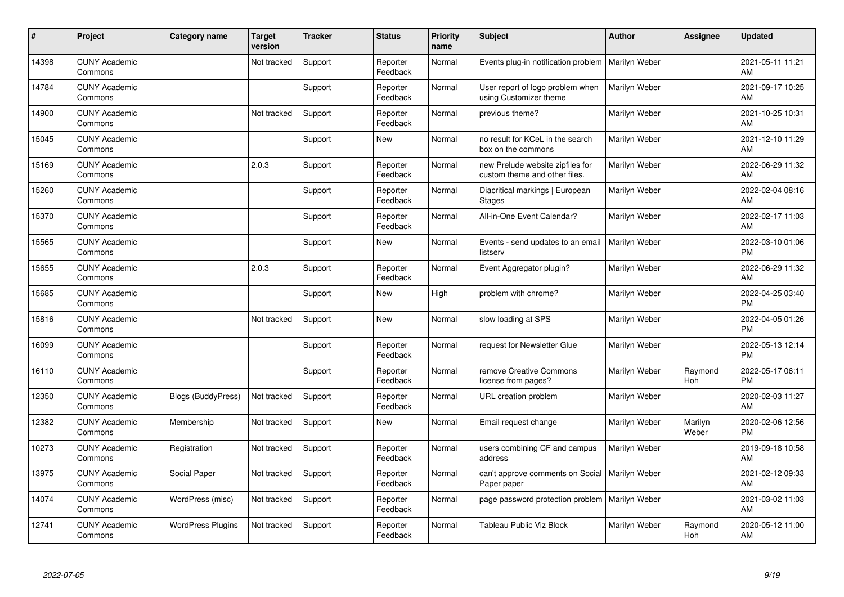| ∦     | Project                         | Category name             | <b>Target</b><br>version | <b>Tracker</b> | <b>Status</b>        | <b>Priority</b><br>name | <b>Subject</b>                                                    | <b>Author</b> | <b>Assignee</b>  | <b>Updated</b>                |
|-------|---------------------------------|---------------------------|--------------------------|----------------|----------------------|-------------------------|-------------------------------------------------------------------|---------------|------------------|-------------------------------|
| 14398 | <b>CUNY Academic</b><br>Commons |                           | Not tracked              | Support        | Reporter<br>Feedback | Normal                  | Events plug-in notification problem                               | Marilyn Weber |                  | 2021-05-11 11:21<br>AM        |
| 14784 | <b>CUNY Academic</b><br>Commons |                           |                          | Support        | Reporter<br>Feedback | Normal                  | User report of logo problem when<br>using Customizer theme        | Marilyn Weber |                  | 2021-09-17 10:25<br>AM        |
| 14900 | <b>CUNY Academic</b><br>Commons |                           | Not tracked              | Support        | Reporter<br>Feedback | Normal                  | previous theme?                                                   | Marilyn Weber |                  | 2021-10-25 10:31<br>AM        |
| 15045 | <b>CUNY Academic</b><br>Commons |                           |                          | Support        | <b>New</b>           | Normal                  | no result for KCeL in the search<br>box on the commons            | Marilyn Weber |                  | 2021-12-10 11:29<br>AM        |
| 15169 | <b>CUNY Academic</b><br>Commons |                           | 2.0.3                    | Support        | Reporter<br>Feedback | Normal                  | new Prelude website zipfiles for<br>custom theme and other files. | Marilyn Weber |                  | 2022-06-29 11:32<br>AM        |
| 15260 | <b>CUNY Academic</b><br>Commons |                           |                          | Support        | Reporter<br>Feedback | Normal                  | Diacritical markings   European<br><b>Stages</b>                  | Marilyn Weber |                  | 2022-02-04 08:16<br><b>AM</b> |
| 15370 | <b>CUNY Academic</b><br>Commons |                           |                          | Support        | Reporter<br>Feedback | Normal                  | All-in-One Event Calendar?                                        | Marilyn Weber |                  | 2022-02-17 11:03<br>AM        |
| 15565 | <b>CUNY Academic</b><br>Commons |                           |                          | Support        | <b>New</b>           | Normal                  | Events - send updates to an email<br>listserv                     | Marilyn Weber |                  | 2022-03-10 01:06<br><b>PM</b> |
| 15655 | <b>CUNY Academic</b><br>Commons |                           | 2.0.3                    | Support        | Reporter<br>Feedback | Normal                  | Event Aggregator plugin?                                          | Marilyn Weber |                  | 2022-06-29 11:32<br>AM        |
| 15685 | <b>CUNY Academic</b><br>Commons |                           |                          | Support        | <b>New</b>           | High                    | problem with chrome?                                              | Marilyn Weber |                  | 2022-04-25 03:40<br><b>PM</b> |
| 15816 | <b>CUNY Academic</b><br>Commons |                           | Not tracked              | Support        | <b>New</b>           | Normal                  | slow loading at SPS                                               | Marilyn Weber |                  | 2022-04-05 01:26<br><b>PM</b> |
| 16099 | <b>CUNY Academic</b><br>Commons |                           |                          | Support        | Reporter<br>Feedback | Normal                  | request for Newsletter Glue                                       | Marilyn Weber |                  | 2022-05-13 12:14<br><b>PM</b> |
| 16110 | <b>CUNY Academic</b><br>Commons |                           |                          | Support        | Reporter<br>Feedback | Normal                  | remove Creative Commons<br>license from pages?                    | Marilyn Weber | Raymond<br>Hoh   | 2022-05-17 06:11<br><b>PM</b> |
| 12350 | <b>CUNY Academic</b><br>Commons | <b>Blogs (BuddyPress)</b> | Not tracked              | Support        | Reporter<br>Feedback | Normal                  | URL creation problem                                              | Marilyn Weber |                  | 2020-02-03 11:27<br><b>AM</b> |
| 12382 | <b>CUNY Academic</b><br>Commons | Membership                | Not tracked              | Support        | New                  | Normal                  | Email request change                                              | Marilyn Weber | Marilyn<br>Weber | 2020-02-06 12:56<br><b>PM</b> |
| 10273 | <b>CUNY Academic</b><br>Commons | Registration              | Not tracked              | Support        | Reporter<br>Feedback | Normal                  | users combining CF and campus<br>address                          | Marilyn Weber |                  | 2019-09-18 10:58<br><b>AM</b> |
| 13975 | <b>CUNY Academic</b><br>Commons | Social Paper              | Not tracked              | Support        | Reporter<br>Feedback | Normal                  | can't approve comments on Social<br>Paper paper                   | Marilyn Weber |                  | 2021-02-12 09:33<br><b>AM</b> |
| 14074 | <b>CUNY Academic</b><br>Commons | WordPress (misc)          | Not tracked              | Support        | Reporter<br>Feedback | Normal                  | page password protection problem                                  | Marilyn Weber |                  | 2021-03-02 11:03<br>AM        |
| 12741 | <b>CUNY Academic</b><br>Commons | <b>WordPress Plugins</b>  | Not tracked              | Support        | Reporter<br>Feedback | Normal                  | Tableau Public Viz Block                                          | Marilyn Weber | Raymond<br>Hoh   | 2020-05-12 11:00<br>AM        |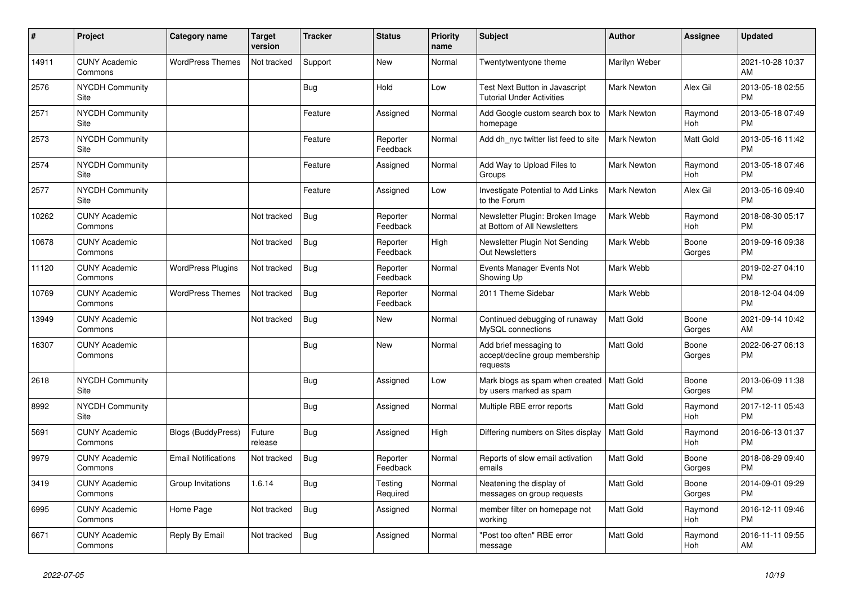| #     | <b>Project</b>                  | Category name              | <b>Target</b><br>version | <b>Tracker</b> | <b>Status</b>        | <b>Priority</b><br>name | <b>Subject</b>                                                        | <b>Author</b>      | Assignee        | <b>Updated</b>                |
|-------|---------------------------------|----------------------------|--------------------------|----------------|----------------------|-------------------------|-----------------------------------------------------------------------|--------------------|-----------------|-------------------------------|
| 14911 | <b>CUNY Academic</b><br>Commons | <b>WordPress Themes</b>    | Not tracked              | Support        | New                  | Normal                  | Twentytwentyone theme                                                 | Marilyn Weber      |                 | 2021-10-28 10:37<br>AM        |
| 2576  | <b>NYCDH Community</b><br>Site  |                            |                          | Bug            | Hold                 | Low                     | Test Next Button in Javascript<br><b>Tutorial Under Activities</b>    | <b>Mark Newton</b> | Alex Gil        | 2013-05-18 02:55<br><b>PM</b> |
| 2571  | NYCDH Community<br>Site         |                            |                          | Feature        | Assigned             | Normal                  | Add Google custom search box to<br>homepage                           | Mark Newton        | Raymond<br>Hoh  | 2013-05-18 07:49<br><b>PM</b> |
| 2573  | <b>NYCDH Community</b><br>Site  |                            |                          | Feature        | Reporter<br>Feedback | Normal                  | Add dh nyc twitter list feed to site                                  | <b>Mark Newton</b> | Matt Gold       | 2013-05-16 11:42<br><b>PM</b> |
| 2574  | <b>NYCDH Community</b><br>Site  |                            |                          | Feature        | Assigned             | Normal                  | Add Way to Upload Files to<br>Groups                                  | <b>Mark Newton</b> | Raymond<br>Hoh  | 2013-05-18 07:46<br><b>PM</b> |
| 2577  | NYCDH Community<br>Site         |                            |                          | Feature        | Assigned             | Low                     | Investigate Potential to Add Links<br>to the Forum                    | Mark Newton        | Alex Gil        | 2013-05-16 09:40<br><b>PM</b> |
| 10262 | <b>CUNY Academic</b><br>Commons |                            | Not tracked              | Bug            | Reporter<br>Feedback | Normal                  | Newsletter Plugin: Broken Image<br>at Bottom of All Newsletters       | Mark Webb          | Raymond<br>Hoh  | 2018-08-30 05:17<br><b>PM</b> |
| 10678 | <b>CUNY Academic</b><br>Commons |                            | Not tracked              | <b>Bug</b>     | Reporter<br>Feedback | High                    | Newsletter Plugin Not Sending<br><b>Out Newsletters</b>               | Mark Webb          | Boone<br>Gorges | 2019-09-16 09:38<br><b>PM</b> |
| 11120 | <b>CUNY Academic</b><br>Commons | <b>WordPress Plugins</b>   | Not tracked              | Bug            | Reporter<br>Feedback | Normal                  | Events Manager Events Not<br>Showing Up                               | Mark Webb          |                 | 2019-02-27 04:10<br><b>PM</b> |
| 10769 | <b>CUNY Academic</b><br>Commons | <b>WordPress Themes</b>    | Not tracked              | Bug            | Reporter<br>Feedback | Normal                  | 2011 Theme Sidebar                                                    | Mark Webb          |                 | 2018-12-04 04:09<br><b>PM</b> |
| 13949 | <b>CUNY Academic</b><br>Commons |                            | Not tracked              | Bug            | <b>New</b>           | Normal                  | Continued debugging of runaway<br>MySQL connections                   | <b>Matt Gold</b>   | Boone<br>Gorges | 2021-09-14 10:42<br>AM        |
| 16307 | <b>CUNY Academic</b><br>Commons |                            |                          | <b>Bug</b>     | New                  | Normal                  | Add brief messaging to<br>accept/decline group membership<br>requests | <b>Matt Gold</b>   | Boone<br>Gorges | 2022-06-27 06:13<br><b>PM</b> |
| 2618  | <b>NYCDH Community</b><br>Site  |                            |                          | Bug            | Assigned             | Low                     | Mark blogs as spam when created<br>by users marked as spam            | <b>Matt Gold</b>   | Boone<br>Gorges | 2013-06-09 11:38<br><b>PM</b> |
| 8992  | <b>NYCDH Community</b><br>Site  |                            |                          | Bug            | Assigned             | Normal                  | Multiple RBE error reports                                            | <b>Matt Gold</b>   | Raymond<br>Hoh  | 2017-12-11 05:43<br><b>PM</b> |
| 5691  | <b>CUNY Academic</b><br>Commons | <b>Blogs (BuddyPress)</b>  | Future<br>release        | <b>Bug</b>     | Assigned             | High                    | Differing numbers on Sites display                                    | <b>Matt Gold</b>   | Raymond<br>Hoh  | 2016-06-13 01:37<br><b>PM</b> |
| 9979  | <b>CUNY Academic</b><br>Commons | <b>Email Notifications</b> | Not tracked              | Bug            | Reporter<br>Feedback | Normal                  | Reports of slow email activation<br>emails                            | <b>Matt Gold</b>   | Boone<br>Gorges | 2018-08-29 09:40<br><b>PM</b> |
| 3419  | <b>CUNY Academic</b><br>Commons | Group Invitations          | 1.6.14                   | Bug            | Testing<br>Required  | Normal                  | Neatening the display of<br>messages on group requests                | Matt Gold          | Boone<br>Gorges | 2014-09-01 09:29<br><b>PM</b> |
| 6995  | <b>CUNY Academic</b><br>Commons | Home Page                  | Not tracked              | <b>Bug</b>     | Assigned             | Normal                  | member filter on homepage not<br>working                              | <b>Matt Gold</b>   | Raymond<br>Hoh  | 2016-12-11 09:46<br><b>PM</b> |
| 6671  | <b>CUNY Academic</b><br>Commons | Reply By Email             | Not tracked              | <b>Bug</b>     | Assigned             | Normal                  | "Post too often" RBE error<br>message                                 | Matt Gold          | Raymond<br>Hoh  | 2016-11-11 09:55<br>AM        |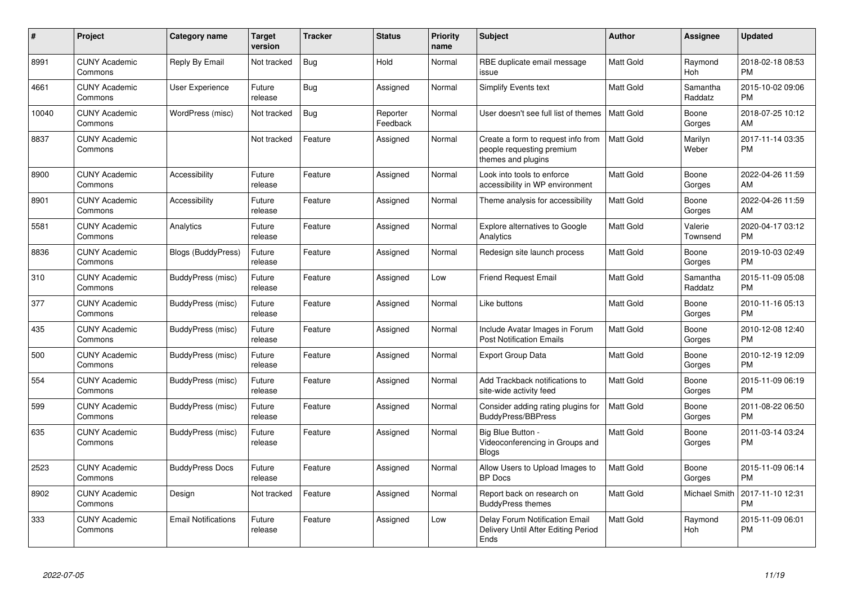| #     | <b>Project</b>                  | Category name              | <b>Target</b><br>version | <b>Tracker</b> | <b>Status</b>        | <b>Priority</b><br>name | <b>Subject</b>                                                                        | <b>Author</b>    | Assignee            | <b>Updated</b>                |
|-------|---------------------------------|----------------------------|--------------------------|----------------|----------------------|-------------------------|---------------------------------------------------------------------------------------|------------------|---------------------|-------------------------------|
| 8991  | <b>CUNY Academic</b><br>Commons | Reply By Email             | Not tracked              | Bug            | Hold                 | Normal                  | RBE duplicate email message<br>issue                                                  | <b>Matt Gold</b> | Raymond<br>Hoh      | 2018-02-18 08:53<br><b>PM</b> |
| 4661  | <b>CUNY Academic</b><br>Commons | <b>User Experience</b>     | Future<br>release        | Bug            | Assigned             | Normal                  | <b>Simplify Events text</b>                                                           | <b>Matt Gold</b> | Samantha<br>Raddatz | 2015-10-02 09:06<br><b>PM</b> |
| 10040 | <b>CUNY Academic</b><br>Commons | WordPress (misc)           | Not tracked              | <b>Bug</b>     | Reporter<br>Feedback | Normal                  | User doesn't see full list of themes                                                  | <b>Matt Gold</b> | Boone<br>Gorges     | 2018-07-25 10:12<br>AM        |
| 8837  | <b>CUNY Academic</b><br>Commons |                            | Not tracked              | Feature        | Assigned             | Normal                  | Create a form to request info from<br>people requesting premium<br>themes and plugins | <b>Matt Gold</b> | Marilyn<br>Weber    | 2017-11-14 03:35<br><b>PM</b> |
| 8900  | <b>CUNY Academic</b><br>Commons | Accessibility              | Future<br>release        | Feature        | Assigned             | Normal                  | Look into tools to enforce<br>accessibility in WP environment                         | <b>Matt Gold</b> | Boone<br>Gorges     | 2022-04-26 11:59<br>AM        |
| 8901  | <b>CUNY Academic</b><br>Commons | Accessibility              | Future<br>release        | Feature        | Assigned             | Normal                  | Theme analysis for accessibility                                                      | <b>Matt Gold</b> | Boone<br>Gorges     | 2022-04-26 11:59<br>AM        |
| 5581  | <b>CUNY Academic</b><br>Commons | Analytics                  | Future<br>release        | Feature        | Assigned             | Normal                  | <b>Explore alternatives to Google</b><br>Analytics                                    | <b>Matt Gold</b> | Valerie<br>Townsend | 2020-04-17 03:12<br><b>PM</b> |
| 8836  | <b>CUNY Academic</b><br>Commons | Blogs (BuddyPress)         | Future<br>release        | Feature        | Assigned             | Normal                  | Redesign site launch process                                                          | <b>Matt Gold</b> | Boone<br>Gorges     | 2019-10-03 02:49<br><b>PM</b> |
| 310   | <b>CUNY Academic</b><br>Commons | BuddyPress (misc)          | Future<br>release        | Feature        | Assigned             | Low                     | <b>Friend Request Email</b>                                                           | Matt Gold        | Samantha<br>Raddatz | 2015-11-09 05:08<br><b>PM</b> |
| 377   | <b>CUNY Academic</b><br>Commons | BuddyPress (misc)          | Future<br>release        | Feature        | Assigned             | Normal                  | Like buttons                                                                          | <b>Matt Gold</b> | Boone<br>Gorges     | 2010-11-16 05:13<br><b>PM</b> |
| 435   | <b>CUNY Academic</b><br>Commons | BuddyPress (misc)          | Future<br>release        | Feature        | Assigned             | Normal                  | Include Avatar Images in Forum<br><b>Post Notification Emails</b>                     | <b>Matt Gold</b> | Boone<br>Gorges     | 2010-12-08 12:40<br><b>PM</b> |
| 500   | <b>CUNY Academic</b><br>Commons | BuddyPress (misc)          | Future<br>release        | Feature        | Assigned             | Normal                  | <b>Export Group Data</b>                                                              | Matt Gold        | Boone<br>Gorges     | 2010-12-19 12:09<br><b>PM</b> |
| 554   | <b>CUNY Academic</b><br>Commons | BuddyPress (misc)          | Future<br>release        | Feature        | Assigned             | Normal                  | Add Trackback notifications to<br>site-wide activity feed                             | <b>Matt Gold</b> | Boone<br>Gorges     | 2015-11-09 06:19<br><b>PM</b> |
| 599   | <b>CUNY Academic</b><br>Commons | BuddyPress (misc)          | Future<br>release        | Feature        | Assigned             | Normal                  | Consider adding rating plugins for<br><b>BuddyPress/BBPress</b>                       | <b>Matt Gold</b> | Boone<br>Gorges     | 2011-08-22 06:50<br><b>PM</b> |
| 635   | <b>CUNY Academic</b><br>Commons | BuddyPress (misc)          | Future<br>release        | Feature        | Assigned             | Normal                  | Big Blue Button -<br>Videoconferencing in Groups and<br><b>Blogs</b>                  | <b>Matt Gold</b> | Boone<br>Gorges     | 2011-03-14 03:24<br><b>PM</b> |
| 2523  | <b>CUNY Academic</b><br>Commons | <b>BuddyPress Docs</b>     | Future<br>release        | Feature        | Assigned             | Normal                  | Allow Users to Upload Images to<br><b>BP</b> Docs                                     | <b>Matt Gold</b> | Boone<br>Gorges     | 2015-11-09 06:14<br><b>PM</b> |
| 8902  | <b>CUNY Academic</b><br>Commons | Design                     | Not tracked              | Feature        | Assigned             | Normal                  | Report back on research on<br><b>BuddyPress themes</b>                                | Matt Gold        | Michael Smith       | 2017-11-10 12:31<br><b>PM</b> |
| 333   | <b>CUNY Academic</b><br>Commons | <b>Email Notifications</b> | Future<br>release        | Feature        | Assigned             | Low                     | Delay Forum Notification Email<br>Delivery Until After Editing Period<br>Ends         | <b>Matt Gold</b> | Raymond<br>Hoh      | 2015-11-09 06:01<br><b>PM</b> |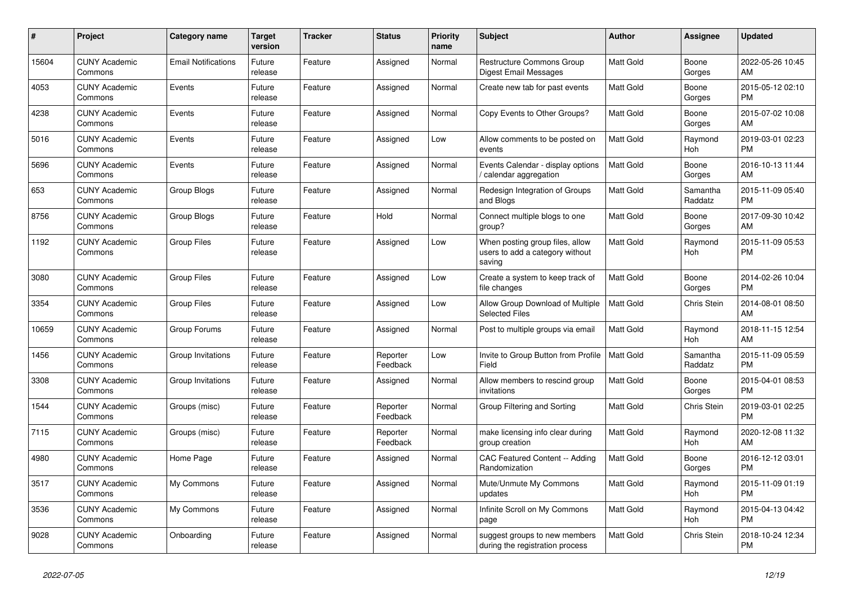| #     | Project                         | <b>Category name</b>       | <b>Target</b><br>version | <b>Tracker</b> | <b>Status</b>        | <b>Priority</b><br>name | <b>Subject</b>                                                               | <b>Author</b>    | <b>Assignee</b>     | <b>Updated</b>                |
|-------|---------------------------------|----------------------------|--------------------------|----------------|----------------------|-------------------------|------------------------------------------------------------------------------|------------------|---------------------|-------------------------------|
| 15604 | <b>CUNY Academic</b><br>Commons | <b>Email Notifications</b> | Future<br>release        | Feature        | Assigned             | Normal                  | <b>Restructure Commons Group</b><br>Digest Email Messages                    | <b>Matt Gold</b> | Boone<br>Gorges     | 2022-05-26 10:45<br>AM        |
| 4053  | <b>CUNY Academic</b><br>Commons | Events                     | Future<br>release        | Feature        | Assigned             | Normal                  | Create new tab for past events                                               | Matt Gold        | Boone<br>Gorges     | 2015-05-12 02:10<br><b>PM</b> |
| 4238  | <b>CUNY Academic</b><br>Commons | Events                     | Future<br>release        | Feature        | Assigned             | Normal                  | Copy Events to Other Groups?                                                 | <b>Matt Gold</b> | Boone<br>Gorges     | 2015-07-02 10:08<br>AM        |
| 5016  | <b>CUNY Academic</b><br>Commons | Events                     | Future<br>release        | Feature        | Assigned             | Low                     | Allow comments to be posted on<br>events                                     | <b>Matt Gold</b> | Raymond<br>Hoh      | 2019-03-01 02:23<br><b>PM</b> |
| 5696  | <b>CUNY Academic</b><br>Commons | Events                     | Future<br>release        | Feature        | Assigned             | Normal                  | Events Calendar - display options<br>/ calendar aggregation                  | <b>Matt Gold</b> | Boone<br>Gorges     | 2016-10-13 11:44<br>AM        |
| 653   | <b>CUNY Academic</b><br>Commons | Group Blogs                | Future<br>release        | Feature        | Assigned             | Normal                  | Redesign Integration of Groups<br>and Blogs                                  | Matt Gold        | Samantha<br>Raddatz | 2015-11-09 05:40<br><b>PM</b> |
| 8756  | <b>CUNY Academic</b><br>Commons | Group Blogs                | Future<br>release        | Feature        | Hold                 | Normal                  | Connect multiple blogs to one<br>group?                                      | <b>Matt Gold</b> | Boone<br>Gorges     | 2017-09-30 10:42<br>AM        |
| 1192  | <b>CUNY Academic</b><br>Commons | <b>Group Files</b>         | Future<br>release        | Feature        | Assigned             | Low                     | When posting group files, allow<br>users to add a category without<br>saving | <b>Matt Gold</b> | Raymond<br>Hoh      | 2015-11-09 05:53<br><b>PM</b> |
| 3080  | <b>CUNY Academic</b><br>Commons | <b>Group Files</b>         | Future<br>release        | Feature        | Assigned             | Low                     | Create a system to keep track of<br>file changes                             | <b>Matt Gold</b> | Boone<br>Gorges     | 2014-02-26 10:04<br><b>PM</b> |
| 3354  | <b>CUNY Academic</b><br>Commons | <b>Group Files</b>         | Future<br>release        | Feature        | Assigned             | Low                     | Allow Group Download of Multiple<br><b>Selected Files</b>                    | <b>Matt Gold</b> | <b>Chris Stein</b>  | 2014-08-01 08:50<br>AM        |
| 10659 | <b>CUNY Academic</b><br>Commons | Group Forums               | Future<br>release        | Feature        | Assigned             | Normal                  | Post to multiple groups via email                                            | <b>Matt Gold</b> | Raymond<br>Hoh      | 2018-11-15 12:54<br>AM        |
| 1456  | <b>CUNY Academic</b><br>Commons | Group Invitations          | Future<br>release        | Feature        | Reporter<br>Feedback | Low                     | Invite to Group Button from Profile<br>Field                                 | l Matt Gold      | Samantha<br>Raddatz | 2015-11-09 05:59<br><b>PM</b> |
| 3308  | <b>CUNY Academic</b><br>Commons | Group Invitations          | Future<br>release        | Feature        | Assigned             | Normal                  | Allow members to rescind group<br>invitations                                | <b>Matt Gold</b> | Boone<br>Gorges     | 2015-04-01 08:53<br><b>PM</b> |
| 1544  | <b>CUNY Academic</b><br>Commons | Groups (misc)              | Future<br>release        | Feature        | Reporter<br>Feedback | Normal                  | Group Filtering and Sorting                                                  | Matt Gold        | Chris Stein         | 2019-03-01 02:25<br><b>PM</b> |
| 7115  | <b>CUNY Academic</b><br>Commons | Groups (misc)              | Future<br>release        | Feature        | Reporter<br>Feedback | Normal                  | make licensing info clear during<br>group creation                           | <b>Matt Gold</b> | Raymond<br>Hoh      | 2020-12-08 11:32<br>AM        |
| 4980  | <b>CUNY Academic</b><br>Commons | Home Page                  | Future<br>release        | Feature        | Assigned             | Normal                  | CAC Featured Content -- Adding<br>Randomization                              | <b>Matt Gold</b> | Boone<br>Gorges     | 2016-12-12 03:01<br><b>PM</b> |
| 3517  | <b>CUNY Academic</b><br>Commons | My Commons                 | Future<br>release        | Feature        | Assigned             | Normal                  | Mute/Unmute My Commons<br>updates                                            | <b>Matt Gold</b> | Raymond<br>Hoh      | 2015-11-09 01:19<br><b>PM</b> |
| 3536  | <b>CUNY Academic</b><br>Commons | My Commons                 | Future<br>release        | Feature        | Assigned             | Normal                  | Infinite Scroll on My Commons<br>page                                        | <b>Matt Gold</b> | Raymond<br>Hoh      | 2015-04-13 04:42<br><b>PM</b> |
| 9028  | <b>CUNY Academic</b><br>Commons | Onboarding                 | Future<br>release        | Feature        | Assigned             | Normal                  | suggest groups to new members<br>during the registration process             | <b>Matt Gold</b> | Chris Stein         | 2018-10-24 12:34<br><b>PM</b> |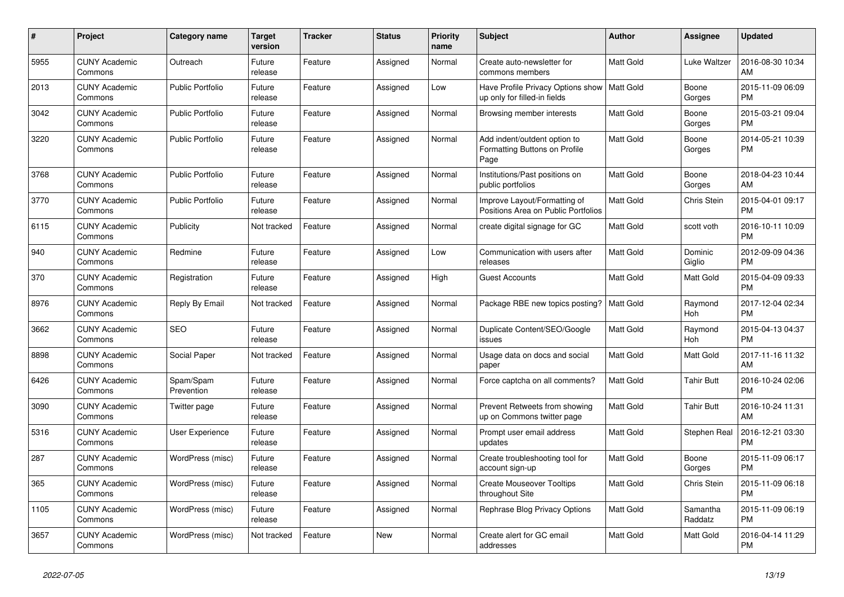| $\pmb{\#}$ | Project                         | <b>Category name</b>    | <b>Target</b><br>version | <b>Tracker</b> | <b>Status</b> | <b>Priority</b><br>name | <b>Subject</b>                                                                | <b>Author</b>    | Assignee            | <b>Updated</b>                |
|------------|---------------------------------|-------------------------|--------------------------|----------------|---------------|-------------------------|-------------------------------------------------------------------------------|------------------|---------------------|-------------------------------|
| 5955       | <b>CUNY Academic</b><br>Commons | Outreach                | Future<br>release        | Feature        | Assigned      | Normal                  | Create auto-newsletter for<br>commons members                                 | <b>Matt Gold</b> | Luke Waltzer        | 2016-08-30 10:34<br>AM        |
| 2013       | <b>CUNY Academic</b><br>Commons | <b>Public Portfolio</b> | Future<br>release        | Feature        | Assigned      | Low                     | Have Profile Privacy Options show   Matt Gold<br>up only for filled-in fields |                  | Boone<br>Gorges     | 2015-11-09 06:09<br><b>PM</b> |
| 3042       | <b>CUNY Academic</b><br>Commons | <b>Public Portfolio</b> | Future<br>release        | Feature        | Assigned      | Normal                  | Browsing member interests                                                     | Matt Gold        | Boone<br>Gorges     | 2015-03-21 09:04<br><b>PM</b> |
| 3220       | <b>CUNY Academic</b><br>Commons | <b>Public Portfolio</b> | Future<br>release        | Feature        | Assigned      | Normal                  | Add indent/outdent option to<br>Formatting Buttons on Profile<br>Page         | <b>Matt Gold</b> | Boone<br>Gorges     | 2014-05-21 10:39<br><b>PM</b> |
| 3768       | <b>CUNY Academic</b><br>Commons | <b>Public Portfolio</b> | Future<br>release        | Feature        | Assigned      | Normal                  | Institutions/Past positions on<br>public portfolios                           | <b>Matt Gold</b> | Boone<br>Gorges     | 2018-04-23 10:44<br>AM        |
| 3770       | <b>CUNY Academic</b><br>Commons | <b>Public Portfolio</b> | Future<br>release        | Feature        | Assigned      | Normal                  | Improve Layout/Formatting of<br>Positions Area on Public Portfolios           | <b>Matt Gold</b> | Chris Stein         | 2015-04-01 09:17<br><b>PM</b> |
| 6115       | <b>CUNY Academic</b><br>Commons | Publicity               | Not tracked              | Feature        | Assigned      | Normal                  | create digital signage for GC                                                 | Matt Gold        | scott voth          | 2016-10-11 10:09<br><b>PM</b> |
| 940        | <b>CUNY Academic</b><br>Commons | Redmine                 | Future<br>release        | Feature        | Assigned      | Low                     | Communication with users after<br>releases                                    | Matt Gold        | Dominic<br>Giglio   | 2012-09-09 04:36<br><b>PM</b> |
| 370        | <b>CUNY Academic</b><br>Commons | Registration            | Future<br>release        | Feature        | Assigned      | High                    | <b>Guest Accounts</b>                                                         | Matt Gold        | Matt Gold           | 2015-04-09 09:33<br><b>PM</b> |
| 8976       | <b>CUNY Academic</b><br>Commons | Reply By Email          | Not tracked              | Feature        | Assigned      | Normal                  | Package RBE new topics posting?                                               | <b>Matt Gold</b> | Raymond<br>Hoh      | 2017-12-04 02:34<br><b>PM</b> |
| 3662       | <b>CUNY Academic</b><br>Commons | <b>SEO</b>              | Future<br>release        | Feature        | Assigned      | Normal                  | Duplicate Content/SEO/Google<br>issues                                        | Matt Gold        | Raymond<br>Hoh      | 2015-04-13 04:37<br><b>PM</b> |
| 8898       | <b>CUNY Academic</b><br>Commons | Social Paper            | Not tracked              | Feature        | Assigned      | Normal                  | Usage data on docs and social<br>paper                                        | <b>Matt Gold</b> | Matt Gold           | 2017-11-16 11:32<br>AM        |
| 6426       | <b>CUNY Academic</b><br>Commons | Spam/Spam<br>Prevention | Future<br>release        | Feature        | Assigned      | Normal                  | Force captcha on all comments?                                                | <b>Matt Gold</b> | Tahir Butt          | 2016-10-24 02:06<br><b>PM</b> |
| 3090       | <b>CUNY Academic</b><br>Commons | Twitter page            | Future<br>release        | Feature        | Assigned      | Normal                  | Prevent Retweets from showing<br>up on Commons twitter page                   | Matt Gold        | <b>Tahir Butt</b>   | 2016-10-24 11:31<br>AM        |
| 5316       | <b>CUNY Academic</b><br>Commons | <b>User Experience</b>  | Future<br>release        | Feature        | Assigned      | Normal                  | Prompt user email address<br>updates                                          | Matt Gold        | Stephen Real        | 2016-12-21 03:30<br><b>PM</b> |
| 287        | <b>CUNY Academic</b><br>Commons | WordPress (misc)        | Future<br>release        | Feature        | Assigned      | Normal                  | Create troubleshooting tool for<br>account sign-up                            | <b>Matt Gold</b> | Boone<br>Gorges     | 2015-11-09 06:17<br><b>PM</b> |
| 365        | <b>CUNY Academic</b><br>Commons | WordPress (misc)        | Future<br>release        | Feature        | Assigned      | Normal                  | <b>Create Mouseover Tooltips</b><br>throughout Site                           | <b>Matt Gold</b> | Chris Stein         | 2015-11-09 06:18<br><b>PM</b> |
| 1105       | <b>CUNY Academic</b><br>Commons | WordPress (misc)        | Future<br>release        | Feature        | Assigned      | Normal                  | Rephrase Blog Privacy Options                                                 | <b>Matt Gold</b> | Samantha<br>Raddatz | 2015-11-09 06:19<br><b>PM</b> |
| 3657       | <b>CUNY Academic</b><br>Commons | WordPress (misc)        | Not tracked              | Feature        | <b>New</b>    | Normal                  | Create alert for GC email<br>addresses                                        | <b>Matt Gold</b> | Matt Gold           | 2016-04-14 11:29<br><b>PM</b> |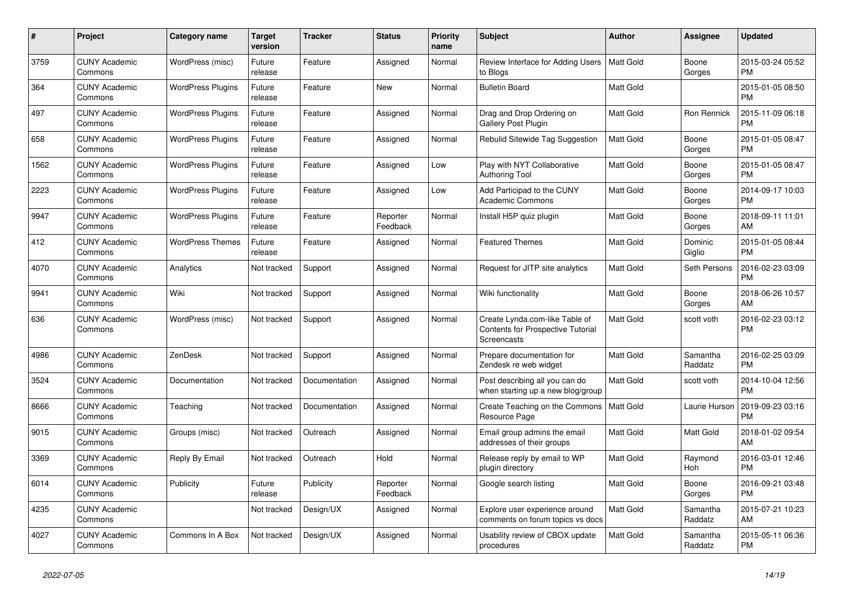| $\#$ | Project                         | <b>Category name</b>     | <b>Target</b><br>version | <b>Tracker</b> | <b>Status</b>        | Priority<br>name | <b>Subject</b>                                                                     | <b>Author</b>    | <b>Assignee</b>     | <b>Updated</b>                |
|------|---------------------------------|--------------------------|--------------------------|----------------|----------------------|------------------|------------------------------------------------------------------------------------|------------------|---------------------|-------------------------------|
| 3759 | <b>CUNY Academic</b><br>Commons | WordPress (misc)         | Future<br>release        | Feature        | Assigned             | Normal           | Review Interface for Adding Users   Matt Gold<br>to Blogs                          |                  | Boone<br>Gorges     | 2015-03-24 05:52<br><b>PM</b> |
| 364  | <b>CUNY Academic</b><br>Commons | <b>WordPress Plugins</b> | Future<br>release        | Feature        | New                  | Normal           | <b>Bulletin Board</b>                                                              | Matt Gold        |                     | 2015-01-05 08:50<br><b>PM</b> |
| 497  | <b>CUNY Academic</b><br>Commons | <b>WordPress Plugins</b> | Future<br>release        | Feature        | Assigned             | Normal           | Drag and Drop Ordering on<br>Gallery Post Plugin                                   | <b>Matt Gold</b> | Ron Rennick         | 2015-11-09 06:18<br><b>PM</b> |
| 658  | <b>CUNY Academic</b><br>Commons | <b>WordPress Plugins</b> | Future<br>release        | Feature        | Assigned             | Normal           | Rebulid Sitewide Tag Suggestion                                                    | <b>Matt Gold</b> | Boone<br>Gorges     | 2015-01-05 08:47<br><b>PM</b> |
| 1562 | <b>CUNY Academic</b><br>Commons | <b>WordPress Plugins</b> | Future<br>release        | Feature        | Assigned             | Low              | Play with NYT Collaborative<br>Authoring Tool                                      | Matt Gold        | Boone<br>Gorges     | 2015-01-05 08:47<br><b>PM</b> |
| 2223 | <b>CUNY Academic</b><br>Commons | <b>WordPress Plugins</b> | Future<br>release        | Feature        | Assigned             | Low              | Add Participad to the CUNY<br><b>Academic Commons</b>                              | <b>Matt Gold</b> | Boone<br>Gorges     | 2014-09-17 10:03<br><b>PM</b> |
| 9947 | <b>CUNY Academic</b><br>Commons | <b>WordPress Plugins</b> | Future<br>release        | Feature        | Reporter<br>Feedback | Normal           | Install H5P quiz plugin                                                            | <b>Matt Gold</b> | Boone<br>Gorges     | 2018-09-11 11:01<br>AM        |
| 412  | <b>CUNY Academic</b><br>Commons | <b>WordPress Themes</b>  | Future<br>release        | Feature        | Assigned             | Normal           | <b>Featured Themes</b>                                                             | Matt Gold        | Dominic<br>Giglio   | 2015-01-05 08:44<br><b>PM</b> |
| 4070 | <b>CUNY Academic</b><br>Commons | Analytics                | Not tracked              | Support        | Assigned             | Normal           | Request for JITP site analytics                                                    | Matt Gold        | Seth Persons        | 2016-02-23 03:09<br><b>PM</b> |
| 9941 | <b>CUNY Academic</b><br>Commons | Wiki                     | Not tracked              | Support        | Assigned             | Normal           | Wiki functionality                                                                 | <b>Matt Gold</b> | Boone<br>Gorges     | 2018-06-26 10:57<br>AM        |
| 636  | <b>CUNY Academic</b><br>Commons | WordPress (misc)         | Not tracked              | Support        | Assigned             | Normal           | Create Lynda.com-like Table of<br>Contents for Prospective Tutorial<br>Screencasts | Matt Gold        | scott voth          | 2016-02-23 03:12<br><b>PM</b> |
| 4986 | <b>CUNY Academic</b><br>Commons | ZenDesk                  | Not tracked              | Support        | Assigned             | Normal           | Prepare documentation for<br>Zendesk re web widget                                 | <b>Matt Gold</b> | Samantha<br>Raddatz | 2016-02-25 03:09<br><b>PM</b> |
| 3524 | <b>CUNY Academic</b><br>Commons | Documentation            | Not tracked              | Documentation  | Assigned             | Normal           | Post describing all you can do<br>when starting up a new blog/group                | <b>Matt Gold</b> | scott voth          | 2014-10-04 12:56<br><b>PM</b> |
| 8666 | <b>CUNY Academic</b><br>Commons | Teaching                 | Not tracked              | Documentation  | Assigned             | Normal           | Create Teaching on the Commons<br>Resource Page                                    | Matt Gold        | Laurie Hurson       | 2019-09-23 03:16<br><b>PM</b> |
| 9015 | <b>CUNY Academic</b><br>Commons | Groups (misc)            | Not tracked              | Outreach       | Assigned             | Normal           | Email group admins the email<br>addresses of their groups                          | Matt Gold        | Matt Gold           | 2018-01-02 09:54<br>AM        |
| 3369 | <b>CUNY Academic</b><br>Commons | Reply By Email           | Not tracked              | Outreach       | Hold                 | Normal           | Release reply by email to WP<br>plugin directory                                   | Matt Gold        | Raymond<br>Hoh      | 2016-03-01 12:46<br><b>PM</b> |
| 6014 | <b>CUNY Academic</b><br>Commons | Publicity                | Future<br>release        | Publicity      | Reporter<br>Feedback | Normal           | Google search listing                                                              | Matt Gold        | Boone<br>Gorges     | 2016-09-21 03:48<br><b>PM</b> |
| 4235 | <b>CUNY Academic</b><br>Commons |                          | Not tracked              | Design/UX      | Assigned             | Normal           | Explore user experience around<br>comments on forum topics vs docs                 | Matt Gold        | Samantha<br>Raddatz | 2015-07-21 10:23<br>AM        |
| 4027 | <b>CUNY Academic</b><br>Commons | Commons In A Box         | Not tracked              | Design/UX      | Assigned             | Normal           | Usability review of CBOX update<br>procedures                                      | <b>Matt Gold</b> | Samantha<br>Raddatz | 2015-05-11 06:36<br><b>PM</b> |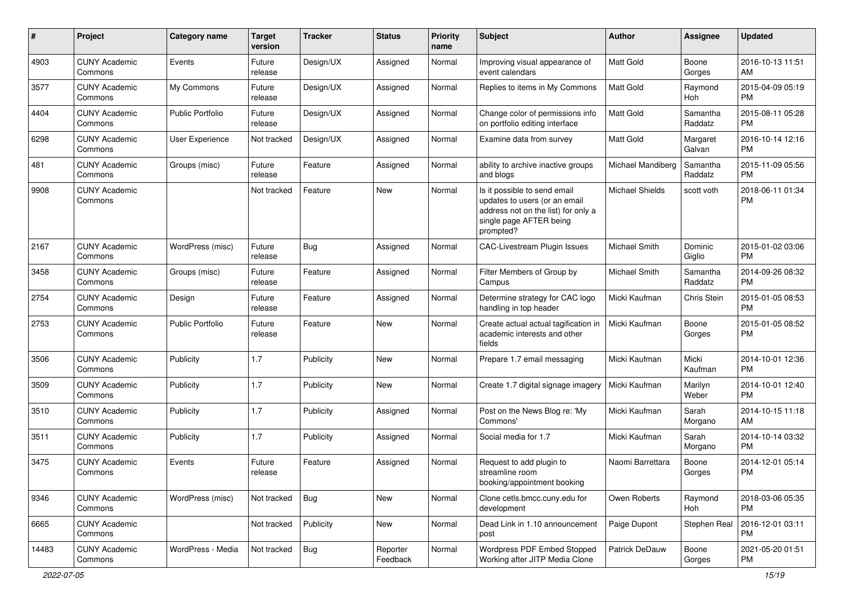| #     | Project                         | <b>Category name</b>    | <b>Target</b><br>version | <b>Tracker</b> | <b>Status</b>        | Priority<br>name | <b>Subject</b>                                                                                                                               | Author            | <b>Assignee</b>     | <b>Updated</b>                |
|-------|---------------------------------|-------------------------|--------------------------|----------------|----------------------|------------------|----------------------------------------------------------------------------------------------------------------------------------------------|-------------------|---------------------|-------------------------------|
| 4903  | <b>CUNY Academic</b><br>Commons | Events                  | Future<br>release        | Design/UX      | Assigned             | Normal           | Improving visual appearance of<br>event calendars                                                                                            | <b>Matt Gold</b>  | Boone<br>Gorges     | 2016-10-13 11:51<br>AM        |
| 3577  | <b>CUNY Academic</b><br>Commons | My Commons              | Future<br>release        | Design/UX      | Assigned             | Normal           | Replies to items in My Commons                                                                                                               | <b>Matt Gold</b>  | Raymond<br>Hoh      | 2015-04-09 05:19<br><b>PM</b> |
| 4404  | <b>CUNY Academic</b><br>Commons | <b>Public Portfolio</b> | Future<br>release        | Design/UX      | Assigned             | Normal           | Change color of permissions info<br>on portfolio editing interface                                                                           | Matt Gold         | Samantha<br>Raddatz | 2015-08-11 05:28<br><b>PM</b> |
| 6298  | <b>CUNY Academic</b><br>Commons | <b>User Experience</b>  | Not tracked              | Design/UX      | Assigned             | Normal           | Examine data from survey                                                                                                                     | <b>Matt Gold</b>  | Margaret<br>Galvan  | 2016-10-14 12:16<br><b>PM</b> |
| 481   | <b>CUNY Academic</b><br>Commons | Groups (misc)           | Future<br>release        | Feature        | Assigned             | Normal           | ability to archive inactive groups<br>and blogs                                                                                              | Michael Mandiberg | Samantha<br>Raddatz | 2015-11-09 05:56<br><b>PM</b> |
| 9908  | <b>CUNY Academic</b><br>Commons |                         | Not tracked              | Feature        | New                  | Normal           | Is it possible to send email<br>updates to users (or an email<br>address not on the list) for only a<br>single page AFTER being<br>prompted? | Michael Shields   | scott voth          | 2018-06-11 01:34<br><b>PM</b> |
| 2167  | <b>CUNY Academic</b><br>Commons | WordPress (misc)        | Future<br>release        | <b>Bug</b>     | Assigned             | Normal           | <b>CAC-Livestream Plugin Issues</b>                                                                                                          | Michael Smith     | Dominic<br>Giglio   | 2015-01-02 03:06<br><b>PM</b> |
| 3458  | <b>CUNY Academic</b><br>Commons | Groups (misc)           | Future<br>release        | Feature        | Assigned             | Normal           | Filter Members of Group by<br>Campus                                                                                                         | Michael Smith     | Samantha<br>Raddatz | 2014-09-26 08:32<br><b>PM</b> |
| 2754  | <b>CUNY Academic</b><br>Commons | Design                  | Future<br>release        | Feature        | Assigned             | Normal           | Determine strategy for CAC logo<br>handling in top header                                                                                    | Micki Kaufman     | Chris Stein         | 2015-01-05 08:53<br><b>PM</b> |
| 2753  | <b>CUNY Academic</b><br>Commons | <b>Public Portfolio</b> | Future<br>release        | Feature        | <b>New</b>           | Normal           | Create actual actual tagification in<br>academic interests and other<br>fields                                                               | Micki Kaufman     | Boone<br>Gorges     | 2015-01-05 08:52<br><b>PM</b> |
| 3506  | <b>CUNY Academic</b><br>Commons | Publicity               | 1.7                      | Publicity      | New                  | Normal           | Prepare 1.7 email messaging                                                                                                                  | Micki Kaufman     | Micki<br>Kaufman    | 2014-10-01 12:36<br><b>PM</b> |
| 3509  | <b>CUNY Academic</b><br>Commons | Publicity               | 1.7                      | Publicity      | New                  | Normal           | Create 1.7 digital signage imagery                                                                                                           | Micki Kaufman     | Marilyn<br>Weber    | 2014-10-01 12:40<br><b>PM</b> |
| 3510  | <b>CUNY Academic</b><br>Commons | Publicity               | 1.7                      | Publicity      | Assigned             | Normal           | Post on the News Blog re: 'My<br>Commons'                                                                                                    | Micki Kaufman     | Sarah<br>Morgano    | 2014-10-15 11:18<br>AM        |
| 3511  | <b>CUNY Academic</b><br>Commons | Publicity               | 1.7                      | Publicity      | Assigned             | Normal           | Social media for 1.7                                                                                                                         | Micki Kaufman     | Sarah<br>Morgano    | 2014-10-14 03:32<br><b>PM</b> |
| 3475  | <b>CUNY Academic</b><br>Commons | Events                  | Future<br>release        | Feature        | Assigned             | Normal           | Request to add plugin to<br>streamline room<br>booking/appointment booking                                                                   | Naomi Barrettara  | Boone<br>Gorges     | 2014-12-01 05:14<br><b>PM</b> |
| 9346  | <b>CUNY Academic</b><br>Commons | WordPress (misc)        | Not tracked              | <b>Bug</b>     | New                  | Normal           | Clone cetls.bmcc.cuny.edu for<br>development                                                                                                 | Owen Roberts      | Raymond<br>Hoh      | 2018-03-06 05:35<br><b>PM</b> |
| 6665  | <b>CUNY Academic</b><br>Commons |                         | Not tracked              | Publicity      | New                  | Normal           | Dead Link in 1.10 announcement<br>post                                                                                                       | Paige Dupont      | Stephen Real        | 2016-12-01 03:11<br><b>PM</b> |
| 14483 | <b>CUNY Academic</b><br>Commons | WordPress - Media       | Not tracked              | <b>Bug</b>     | Reporter<br>Feedback | Normal           | Wordpress PDF Embed Stopped<br>Working after JITP Media Clone                                                                                | Patrick DeDauw    | Boone<br>Gorges     | 2021-05-20 01:51<br>PM        |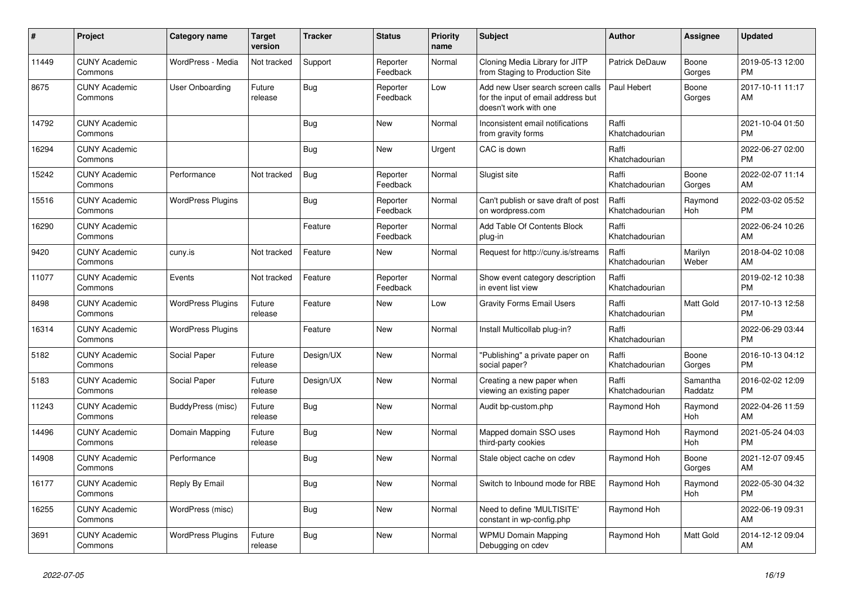| #     | <b>Project</b>                  | Category name            | <b>Target</b><br>version | <b>Tracker</b> | <b>Status</b>        | <b>Priority</b><br>name | <b>Subject</b>                                                                                  | <b>Author</b>           | Assignee            | <b>Updated</b>                |
|-------|---------------------------------|--------------------------|--------------------------|----------------|----------------------|-------------------------|-------------------------------------------------------------------------------------------------|-------------------------|---------------------|-------------------------------|
| 11449 | <b>CUNY Academic</b><br>Commons | WordPress - Media        | Not tracked              | Support        | Reporter<br>Feedback | Normal                  | Cloning Media Library for JITP<br>from Staging to Production Site                               | Patrick DeDauw          | Boone<br>Gorges     | 2019-05-13 12:00<br><b>PM</b> |
| 8675  | <b>CUNY Academic</b><br>Commons | User Onboarding          | Future<br>release        | Bug            | Reporter<br>Feedback | Low                     | Add new User search screen calls<br>for the input of email address but<br>doesn't work with one | Paul Hebert             | Boone<br>Gorges     | 2017-10-11 11:17<br>AM        |
| 14792 | <b>CUNY Academic</b><br>Commons |                          |                          | Bug            | <b>New</b>           | Normal                  | Inconsistent email notifications<br>from gravity forms                                          | Raffi<br>Khatchadourian |                     | 2021-10-04 01:50<br><b>PM</b> |
| 16294 | <b>CUNY Academic</b><br>Commons |                          |                          | <b>Bug</b>     | <b>New</b>           | Urgent                  | CAC is down                                                                                     | Raffi<br>Khatchadourian |                     | 2022-06-27 02:00<br><b>PM</b> |
| 15242 | <b>CUNY Academic</b><br>Commons | Performance              | Not tracked              | Bug            | Reporter<br>Feedback | Normal                  | Slugist site                                                                                    | Raffi<br>Khatchadourian | Boone<br>Gorges     | 2022-02-07 11:14<br>AM        |
| 15516 | <b>CUNY Academic</b><br>Commons | <b>WordPress Plugins</b> |                          | Bug            | Reporter<br>Feedback | Normal                  | Can't publish or save draft of post<br>on wordpress.com                                         | Raffi<br>Khatchadourian | Raymond<br>Hoh      | 2022-03-02 05:52<br><b>PM</b> |
| 16290 | <b>CUNY Academic</b><br>Commons |                          |                          | Feature        | Reporter<br>Feedback | Normal                  | Add Table Of Contents Block<br>plug-in                                                          | Raffi<br>Khatchadourian |                     | 2022-06-24 10:26<br>AM        |
| 9420  | <b>CUNY Academic</b><br>Commons | cuny.is                  | Not tracked              | Feature        | <b>New</b>           | Normal                  | Request for http://cuny.is/streams                                                              | Raffi<br>Khatchadourian | Marilyn<br>Weber    | 2018-04-02 10:08<br>AM        |
| 11077 | <b>CUNY Academic</b><br>Commons | Events                   | Not tracked              | Feature        | Reporter<br>Feedback | Normal                  | Show event category description<br>in event list view                                           | Raffi<br>Khatchadourian |                     | 2019-02-12 10:38<br><b>PM</b> |
| 8498  | <b>CUNY Academic</b><br>Commons | <b>WordPress Plugins</b> | Future<br>release        | Feature        | <b>New</b>           | Low                     | <b>Gravity Forms Email Users</b>                                                                | Raffi<br>Khatchadourian | Matt Gold           | 2017-10-13 12:58<br><b>PM</b> |
| 16314 | <b>CUNY Academic</b><br>Commons | <b>WordPress Plugins</b> |                          | Feature        | New                  | Normal                  | Install Multicollab plug-in?                                                                    | Raffi<br>Khatchadourian |                     | 2022-06-29 03:44<br><b>PM</b> |
| 5182  | <b>CUNY Academic</b><br>Commons | Social Paper             | Future<br>release        | Design/UX      | <b>New</b>           | Normal                  | "Publishing" a private paper on<br>social paper?                                                | Raffi<br>Khatchadourian | Boone<br>Gorges     | 2016-10-13 04:12<br><b>PM</b> |
| 5183  | <b>CUNY Academic</b><br>Commons | Social Paper             | Future<br>release        | Design/UX      | <b>New</b>           | Normal                  | Creating a new paper when<br>viewing an existing paper                                          | Raffi<br>Khatchadourian | Samantha<br>Raddatz | 2016-02-02 12:09<br><b>PM</b> |
| 11243 | <b>CUNY Academic</b><br>Commons | BuddyPress (misc)        | Future<br>release        | Bug            | <b>New</b>           | Normal                  | Audit bp-custom.php                                                                             | Raymond Hoh             | Raymond<br>Hoh      | 2022-04-26 11:59<br>AM        |
| 14496 | <b>CUNY Academic</b><br>Commons | Domain Mapping           | Future<br>release        | Bug            | New                  | Normal                  | Mapped domain SSO uses<br>third-party cookies                                                   | Raymond Hoh             | Raymond<br>Hoh      | 2021-05-24 04:03<br><b>PM</b> |
| 14908 | <b>CUNY Academic</b><br>Commons | Performance              |                          | <b>Bug</b>     | <b>New</b>           | Normal                  | Stale object cache on cdev                                                                      | Raymond Hoh             | Boone<br>Gorges     | 2021-12-07 09:45<br>AM        |
| 16177 | <b>CUNY Academic</b><br>Commons | Reply By Email           |                          | Bug            | <b>New</b>           | Normal                  | Switch to Inbound mode for RBE                                                                  | Raymond Hoh             | Raymond<br>Hoh      | 2022-05-30 04:32<br><b>PM</b> |
| 16255 | <b>CUNY Academic</b><br>Commons | WordPress (misc)         |                          | <b>Bug</b>     | New                  | Normal                  | Need to define 'MULTISITE'<br>constant in wp-config.php                                         | Raymond Hoh             |                     | 2022-06-19 09:31<br>AM        |
| 3691  | <b>CUNY Academic</b><br>Commons | <b>WordPress Plugins</b> | Future<br>release        | Bug            | <b>New</b>           | Normal                  | <b>WPMU Domain Mapping</b><br>Debugging on cdev                                                 | Raymond Hoh             | Matt Gold           | 2014-12-12 09:04<br>AM        |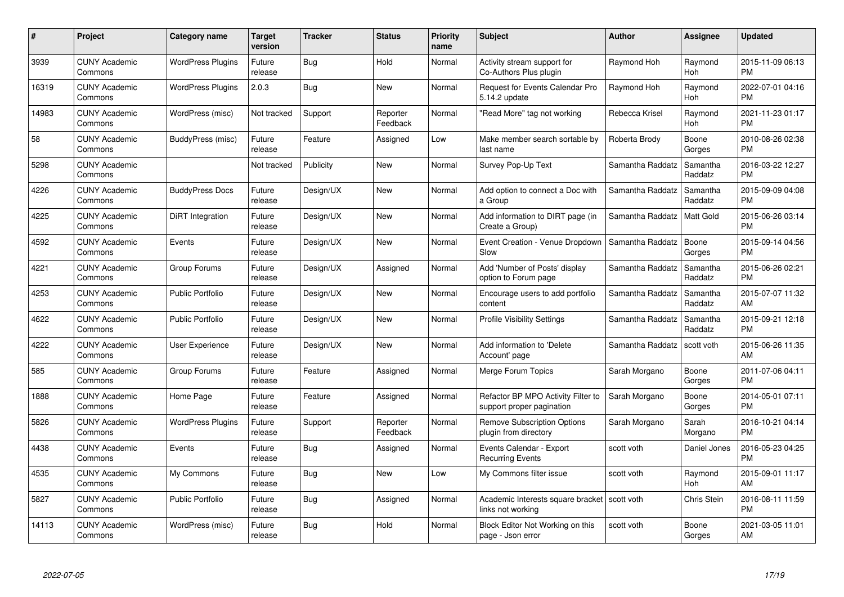| $\#$  | Project                         | <b>Category name</b>     | <b>Target</b><br>version | <b>Tracker</b> | <b>Status</b>        | Priority<br>name | <b>Subject</b>                                                  | <b>Author</b>    | <b>Assignee</b>     | <b>Updated</b>                |
|-------|---------------------------------|--------------------------|--------------------------|----------------|----------------------|------------------|-----------------------------------------------------------------|------------------|---------------------|-------------------------------|
| 3939  | <b>CUNY Academic</b><br>Commons | <b>WordPress Plugins</b> | Future<br>release        | Bug            | Hold                 | Normal           | Activity stream support for<br>Co-Authors Plus plugin           | Raymond Hoh      | Raymond<br>Hoh      | 2015-11-09 06:13<br><b>PM</b> |
| 16319 | <b>CUNY Academic</b><br>Commons | <b>WordPress Plugins</b> | 2.0.3                    | Bug            | <b>New</b>           | Normal           | <b>Request for Events Calendar Pro</b><br>5.14.2 update         | Raymond Hoh      | Raymond<br>Hoh      | 2022-07-01 04:16<br><b>PM</b> |
| 14983 | <b>CUNY Academic</b><br>Commons | WordPress (misc)         | Not tracked              | Support        | Reporter<br>Feedback | Normal           | "Read More" tag not working                                     | Rebecca Krisel   | Raymond<br>Hoh      | 2021-11-23 01:17<br><b>PM</b> |
| 58    | <b>CUNY Academic</b><br>Commons | BuddyPress (misc)        | Future<br>release        | Feature        | Assigned             | Low              | Make member search sortable by<br>last name                     | Roberta Brody    | Boone<br>Gorges     | 2010-08-26 02:38<br><b>PM</b> |
| 5298  | <b>CUNY Academic</b><br>Commons |                          | Not tracked              | Publicity      | <b>New</b>           | Normal           | Survey Pop-Up Text                                              | Samantha Raddatz | Samantha<br>Raddatz | 2016-03-22 12:27<br><b>PM</b> |
| 4226  | <b>CUNY Academic</b><br>Commons | <b>BuddyPress Docs</b>   | Future<br>release        | Design/UX      | <b>New</b>           | Normal           | Add option to connect a Doc with<br>a Group                     | Samantha Raddatz | Samantha<br>Raddatz | 2015-09-09 04:08<br><b>PM</b> |
| 4225  | <b>CUNY Academic</b><br>Commons | DiRT Integration         | Future<br>release        | Design/UX      | New                  | Normal           | Add information to DIRT page (in<br>Create a Group)             | Samantha Raddatz | Matt Gold           | 2015-06-26 03:14<br><b>PM</b> |
| 4592  | <b>CUNY Academic</b><br>Commons | Events                   | Future<br>release        | Design/UX      | <b>New</b>           | Normal           | Event Creation - Venue Dropdown<br>Slow                         | Samantha Raddatz | Boone<br>Gorges     | 2015-09-14 04:56<br><b>PM</b> |
| 4221  | <b>CUNY Academic</b><br>Commons | Group Forums             | Future<br>release        | Design/UX      | Assigned             | Normal           | Add 'Number of Posts' display<br>option to Forum page           | Samantha Raddatz | Samantha<br>Raddatz | 2015-06-26 02:21<br><b>PM</b> |
| 4253  | <b>CUNY Academic</b><br>Commons | <b>Public Portfolio</b>  | Future<br>release        | Design/UX      | New                  | Normal           | Encourage users to add portfolio<br>content                     | Samantha Raddatz | Samantha<br>Raddatz | 2015-07-07 11:32<br>AM        |
| 4622  | <b>CUNY Academic</b><br>Commons | Public Portfolio         | Future<br>release        | Design/UX      | New                  | Normal           | <b>Profile Visibility Settings</b>                              | Samantha Raddatz | Samantha<br>Raddatz | 2015-09-21 12:18<br><b>PM</b> |
| 4222  | <b>CUNY Academic</b><br>Commons | User Experience          | Future<br>release        | Design/UX      | <b>New</b>           | Normal           | Add information to 'Delete<br>Account' page                     | Samantha Raddatz | scott voth          | 2015-06-26 11:35<br>AM        |
| 585   | <b>CUNY Academic</b><br>Commons | Group Forums             | Future<br>release        | Feature        | Assigned             | Normal           | Merge Forum Topics                                              | Sarah Morgano    | Boone<br>Gorges     | 2011-07-06 04:11<br><b>PM</b> |
| 1888  | <b>CUNY Academic</b><br>Commons | Home Page                | Future<br>release        | Feature        | Assigned             | Normal           | Refactor BP MPO Activity Filter to<br>support proper pagination | Sarah Morgano    | Boone<br>Gorges     | 2014-05-01 07:11<br><b>PM</b> |
| 5826  | <b>CUNY Academic</b><br>Commons | <b>WordPress Plugins</b> | Future<br>release        | Support        | Reporter<br>Feedback | Normal           | <b>Remove Subscription Options</b><br>plugin from directory     | Sarah Morgano    | Sarah<br>Morgano    | 2016-10-21 04:14<br><b>PM</b> |
| 4438  | <b>CUNY Academic</b><br>Commons | Events                   | Future<br>release        | Bug            | Assigned             | Normal           | Events Calendar - Export<br><b>Recurring Events</b>             | scott voth       | Daniel Jones        | 2016-05-23 04:25<br><b>PM</b> |
| 4535  | <b>CUNY Academic</b><br>Commons | My Commons               | Future<br>release        | Bug            | New                  | Low              | My Commons filter issue                                         | scott voth       | Raymond<br>Hoh      | 2015-09-01 11:17<br>AM        |
| 5827  | <b>CUNY Academic</b><br>Commons | <b>Public Portfolio</b>  | Future<br>release        | Bug            | Assigned             | Normal           | Academic Interests square bracket<br>links not working          | scott voth       | Chris Stein         | 2016-08-11 11:59<br><b>PM</b> |
| 14113 | CUNY Academic<br>Commons        | WordPress (misc)         | Future<br>release        | Bug            | Hold                 | Normal           | Block Editor Not Working on this<br>page - Json error           | scott voth       | Boone<br>Gorges     | 2021-03-05 11:01<br>AM        |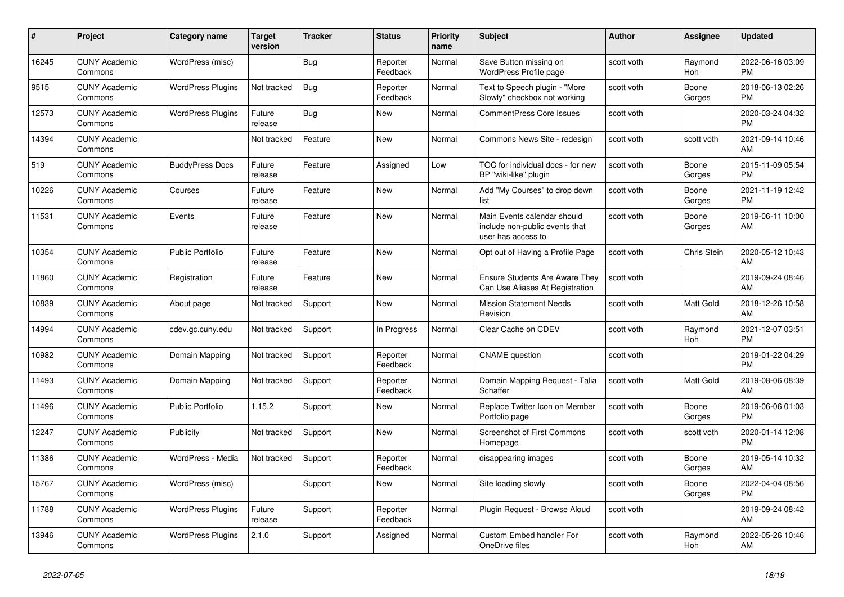| #     | Project                         | <b>Category name</b>     | <b>Target</b><br>version | <b>Tracker</b> | <b>Status</b>        | <b>Priority</b><br>name | <b>Subject</b>                                                                      | <b>Author</b> | <b>Assignee</b> | <b>Updated</b>                |
|-------|---------------------------------|--------------------------|--------------------------|----------------|----------------------|-------------------------|-------------------------------------------------------------------------------------|---------------|-----------------|-------------------------------|
| 16245 | <b>CUNY Academic</b><br>Commons | WordPress (misc)         |                          | <b>Bug</b>     | Reporter<br>Feedback | Normal                  | Save Button missing on<br>WordPress Profile page                                    | scott voth    | Raymond<br>Hoh  | 2022-06-16 03:09<br><b>PM</b> |
| 9515  | <b>CUNY Academic</b><br>Commons | <b>WordPress Plugins</b> | Not tracked              | <b>Bug</b>     | Reporter<br>Feedback | Normal                  | Text to Speech plugin - "More<br>Slowly" checkbox not working                       | scott voth    | Boone<br>Gorges | 2018-06-13 02:26<br><b>PM</b> |
| 12573 | <b>CUNY Academic</b><br>Commons | <b>WordPress Plugins</b> | Future<br>release        | Bug            | New                  | Normal                  | <b>CommentPress Core Issues</b>                                                     | scott voth    |                 | 2020-03-24 04:32<br><b>PM</b> |
| 14394 | <b>CUNY Academic</b><br>Commons |                          | Not tracked              | Feature        | New                  | Normal                  | Commons News Site - redesign                                                        | scott voth    | scott voth      | 2021-09-14 10:46<br>AM        |
| 519   | <b>CUNY Academic</b><br>Commons | <b>BuddyPress Docs</b>   | Future<br>release        | Feature        | Assigned             | Low                     | TOC for individual docs - for new<br>BP "wiki-like" plugin                          | scott voth    | Boone<br>Gorges | 2015-11-09 05:54<br><b>PM</b> |
| 10226 | <b>CUNY Academic</b><br>Commons | Courses                  | Future<br>release        | Feature        | New                  | Normal                  | Add "My Courses" to drop down<br>list                                               | scott voth    | Boone<br>Gorges | 2021-11-19 12:42<br><b>PM</b> |
| 11531 | <b>CUNY Academic</b><br>Commons | Events                   | Future<br>release        | Feature        | <b>New</b>           | Normal                  | Main Events calendar should<br>include non-public events that<br>user has access to | scott voth    | Boone<br>Gorges | 2019-06-11 10:00<br>AM        |
| 10354 | <b>CUNY Academic</b><br>Commons | <b>Public Portfolio</b>  | Future<br>release        | Feature        | <b>New</b>           | Normal                  | Opt out of Having a Profile Page                                                    | scott voth    | Chris Stein     | 2020-05-12 10:43<br>AM        |
| 11860 | <b>CUNY Academic</b><br>Commons | Registration             | Future<br>release        | Feature        | <b>New</b>           | Normal                  | <b>Ensure Students Are Aware They</b><br>Can Use Aliases At Registration            | scott voth    |                 | 2019-09-24 08:46<br>AM        |
| 10839 | <b>CUNY Academic</b><br>Commons | About page               | Not tracked              | Support        | New                  | Normal                  | <b>Mission Statement Needs</b><br>Revision                                          | scott voth    | Matt Gold       | 2018-12-26 10:58<br>AM        |
| 14994 | <b>CUNY Academic</b><br>Commons | cdev.gc.cuny.edu         | Not tracked              | Support        | In Progress          | Normal                  | Clear Cache on CDEV                                                                 | scott voth    | Raymond<br>Hoh  | 2021-12-07 03:51<br><b>PM</b> |
| 10982 | <b>CUNY Academic</b><br>Commons | Domain Mapping           | Not tracked              | Support        | Reporter<br>Feedback | Normal                  | <b>CNAME</b> question                                                               | scott voth    |                 | 2019-01-22 04:29<br><b>PM</b> |
| 11493 | <b>CUNY Academic</b><br>Commons | Domain Mapping           | Not tracked              | Support        | Reporter<br>Feedback | Normal                  | Domain Mapping Request - Talia<br>Schaffer                                          | scott voth    | Matt Gold       | 2019-08-06 08:39<br>AM        |
| 11496 | <b>CUNY Academic</b><br>Commons | <b>Public Portfolio</b>  | 1.15.2                   | Support        | New                  | Normal                  | Replace Twitter Icon on Member<br>Portfolio page                                    | scott voth    | Boone<br>Gorges | 2019-06-06 01:03<br><b>PM</b> |
| 12247 | <b>CUNY Academic</b><br>Commons | Publicity                | Not tracked              | Support        | New                  | Normal                  | <b>Screenshot of First Commons</b><br>Homepage                                      | scott voth    | scott voth      | 2020-01-14 12:08<br><b>PM</b> |
| 11386 | <b>CUNY Academic</b><br>Commons | WordPress - Media        | Not tracked              | Support        | Reporter<br>Feedback | Normal                  | disappearing images                                                                 | scott voth    | Boone<br>Gorges | 2019-05-14 10:32<br>AM        |
| 15767 | <b>CUNY Academic</b><br>Commons | WordPress (misc)         |                          | Support        | New                  | Normal                  | Site loading slowly                                                                 | scott voth    | Boone<br>Gorges | 2022-04-04 08:56<br><b>PM</b> |
| 11788 | <b>CUNY Academic</b><br>Commons | <b>WordPress Plugins</b> | Future<br>release        | Support        | Reporter<br>Feedback | Normal                  | Plugin Request - Browse Aloud                                                       | scott voth    |                 | 2019-09-24 08:42<br>AM        |
| 13946 | <b>CUNY Academic</b><br>Commons | <b>WordPress Plugins</b> | 2.1.0                    | Support        | Assigned             | Normal                  | <b>Custom Embed handler For</b><br>OneDrive files                                   | scott voth    | Raymond<br>Hoh  | 2022-05-26 10:46<br>AM        |